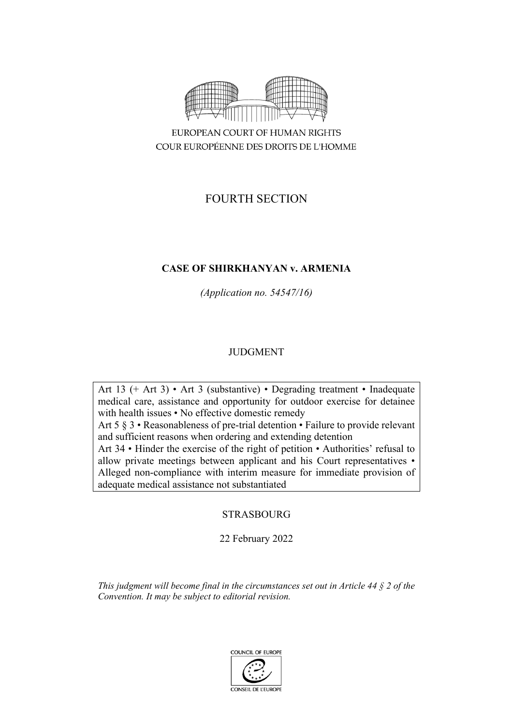

COUR EUROPÉENNE DES DROITS DE L'HOMME

# FOURTH SECTION

# **CASE OF SHIRKHANYAN v. ARMENIA**

*(Application no. 54547/16)*

# JUDGMENT

Art 13 (+ Art 3) • Art 3 (substantive) • Degrading treatment • Inadequate medical care, assistance and opportunity for outdoor exercise for detainee with health issues • No effective domestic remedy Art 5 § 3 • Reasonableness of pre-trial detention • Failure to provide relevant

and sufficient reasons when ordering and extending detention Art 34 • Hinder the exercise of the right of petition • Authorities' refusal to allow private meetings between applicant and his Court representatives • Alleged non-compliance with interim measure for immediate provision of adequate medical assistance not substantiated

**STRASBOURG** 

22 February 2022

*This judgment will become final in the circumstances set out in Article 44 § 2 of the Convention. It may be subject to editorial revision.*

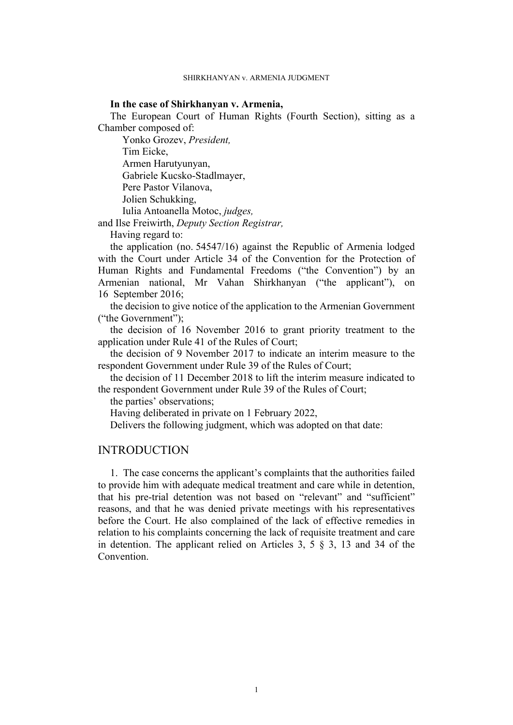# **In the case of Shirkhanyan v. Armenia,**

The European Court of Human Rights (Fourth Section), sitting as a Chamber composed of:

Yonko Grozev, *President,* Tim Eicke, Armen Harutyunyan, Gabriele Kucsko-Stadlmayer, Pere Pastor Vilanova, Jolien Schukking, Iulia Antoanella Motoc, *judges,*

and Ilse Freiwirth, *Deputy Section Registrar,*

Having regard to:

the application (no. 54547/16) against the Republic of Armenia lodged with the Court under Article 34 of the Convention for the Protection of Human Rights and Fundamental Freedoms ("the Convention") by an Armenian national, Mr Vahan Shirkhanyan ("the applicant"), on 16 September 2016;

the decision to give notice of the application to the Armenian Government ("the Government");

the decision of 16 November 2016 to grant priority treatment to the application under Rule 41 of the Rules of Court;

the decision of 9 November 2017 to indicate an interim measure to the respondent Government under Rule 39 of the Rules of Court;

the decision of 11 December 2018 to lift the interim measure indicated to the respondent Government under Rule 39 of the Rules of Court;

the parties' observations;

Having deliberated in private on 1 February 2022,

Delivers the following judgment, which was adopted on that date:

# **INTRODUCTION**

1. The case concerns the applicant's complaints that the authorities failed to provide him with adequate medical treatment and care while in detention, that his pre-trial detention was not based on "relevant" and "sufficient" reasons, and that he was denied private meetings with his representatives before the Court. He also complained of the lack of effective remedies in relation to his complaints concerning the lack of requisite treatment and care in detention. The applicant relied on Articles 3, 5  $\S$  3, 13 and 34 of the **Convention**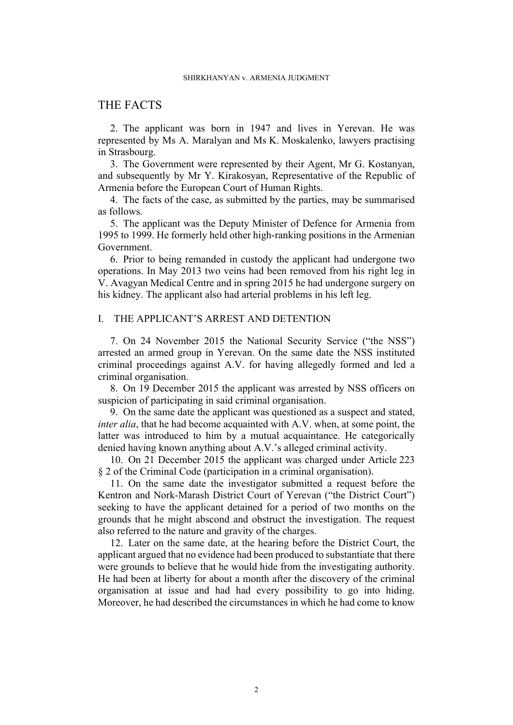# THE FACTS

2. The applicant was born in 1947 and lives in Yerevan. He was represented by Ms A. Maralyan and Ms K. Moskalenko, lawyers practising in Strasbourg.

3. The Government were represented by their Agent, Mr G. Kostanyan, and subsequently by Mr Y. Kirakosyan, Representative of the Republic of Armenia before the European Court of Human Rights.

4. The facts of the case, as submitted by the parties, may be summarised as follows.

5. The applicant was the Deputy Minister of Defence for Armenia from 1995 to 1999. He formerly held other high-ranking positions in the Armenian Government.

<span id="page-3-0"></span>6. Prior to being remanded in custody the applicant had undergone two operations. In May 2013 two veins had been removed from his right leg in V. Avagyan Medical Centre and in spring 2015 he had undergone surgery on his kidney. The applicant also had arterial problems in his left leg.

# I. THE APPLICANT'S ARREST AND DETENTION

7. On 24 November 2015 the National Security Service ("the NSS") arrested an armed group in Yerevan. On the same date the NSS instituted criminal proceedings against A.V. for having allegedly formed and led a criminal organisation.

8. On 19 December 2015 the applicant was arrested by NSS officers on suspicion of participating in said criminal organisation.

9. On the same date the applicant was questioned as a suspect and stated, *inter alia*, that he had become acquainted with A.V. when, at some point, the latter was introduced to him by a mutual acquaintance. He categorically denied having known anything about A.V.'s alleged criminal activity.

10. On 21 December 2015 the applicant was charged under Article 223 § 2 of the Criminal Code (participation in a criminal organisation).

11. On the same date the investigator submitted a request before the Kentron and Nork-Marash District Court of Yerevan ("the District Court") seeking to have the applicant detained for a period of two months on the grounds that he might abscond and obstruct the investigation. The request also referred to the nature and gravity of the charges.

12. Later on the same date, at the hearing before the District Court, the applicant argued that no evidence had been produced to substantiate that there were grounds to believe that he would hide from the investigating authority. He had been at liberty for about a month after the discovery of the criminal organisation at issue and had had every possibility to go into hiding. Moreover, he had described the circumstances in which he had come to know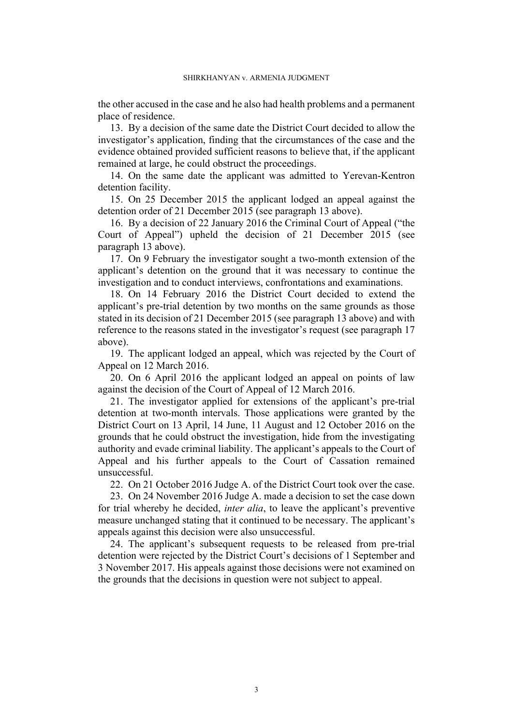the other accused in the case and he also had health problems and a permanent place of residence.

<span id="page-4-0"></span>13. By a decision of the same date the District Court decided to allow the investigator's application, finding that the circumstances of the case and the evidence obtained provided sufficient reasons to believe that, if the applicant remained at large, he could obstruct the proceedings.

<span id="page-4-3"></span>14. On the same date the applicant was admitted to Yerevan-Kentron detention facility.

15. On 25 December 2015 the applicant lodged an appeal against the detention order of 21 December 2015 (see paragraph [13](#page-4-0) above).

<span id="page-4-5"></span>16. By a decision of 22 January 2016 the Criminal Court of Appeal ("the Court of Appeal") upheld the decision of 21 December 2015 (see paragraph [13](#page-4-0) above).

<span id="page-4-1"></span>17. On 9 February the investigator sought a two-month extension of the applicant's detention on the ground that it was necessary to continue the investigation and to conduct interviews, confrontations and examinations.

<span id="page-4-4"></span>18. On 14 February 2016 the District Court decided to extend the applicant's pre-trial detention by two months on the same grounds as those stated in its decision of 21 December 2015 (see paragraph [13](#page-4-0) above) and with reference to the reasons stated in the investigator's request (see paragraph [17](#page-4-1)  above).

<span id="page-4-6"></span>19. The applicant lodged an appeal, which was rejected by the Court of Appeal on 12 March 2016.

20. On 6 April 2016 the applicant lodged an appeal on points of law against the decision of the Court of Appeal of 12 March 2016.

<span id="page-4-7"></span>21. The investigator applied for extensions of the applicant's pre-trial detention at two-month intervals. Those applications were granted by the District Court on 13 April, 14 June, 11 August and 12 October 2016 on the grounds that he could obstruct the investigation, hide from the investigating authority and evade criminal liability. The applicant's appeals to the Court of Appeal and his further appeals to the Court of Cassation remained unsuccessful.

<span id="page-4-2"></span>22. On 21 October 2016 Judge A. of the District Court took over the case.

23. On 24 November 2016 Judge A. made a decision to set the case down for trial whereby he decided, *inter alia*, to leave the applicant's preventive measure unchanged stating that it continued to be necessary. The applicant's appeals against this decision were also unsuccessful.

24. The applicant's subsequent requests to be released from pre-trial detention were rejected by the District Court's decisions of 1 September and 3 November 2017. His appeals against those decisions were not examined on the grounds that the decisions in question were not subject to appeal.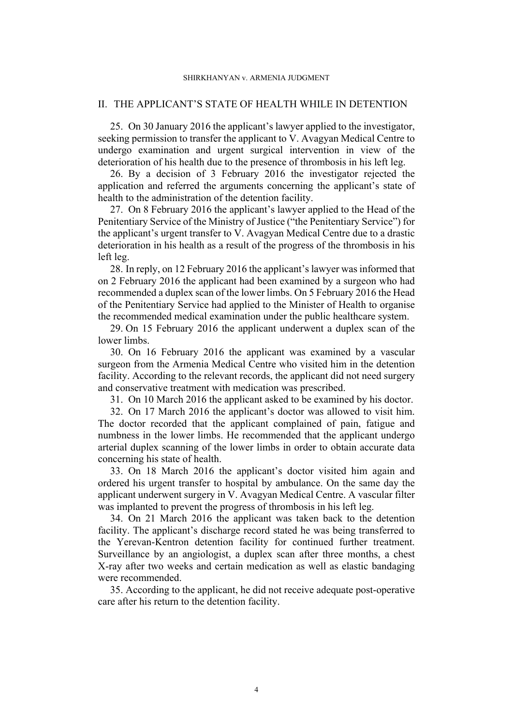#### SHIRKHANYAN v. ARMENIA JUDGMENT

# II. THE APPLICANT'S STATE OF HEALTH WHILE IN DETENTION

<span id="page-5-2"></span>25. On 30 January 2016 the applicant's lawyer applied to the investigator, seeking permission to transfer the applicant to V. Avagyan Medical Centre to undergo examination and urgent surgical intervention in view of the deterioration of his health due to the presence of thrombosis in his left leg.

26. By a decision of 3 February 2016 the investigator rejected the application and referred the arguments concerning the applicant's state of health to the administration of the detention facility.

<span id="page-5-3"></span>27. On 8 February 2016 the applicant's lawyer applied to the Head of the Penitentiary Service of the Ministry of Justice ("the Penitentiary Service") for the applicant's urgent transfer to V. Avagyan Medical Centre due to a drastic deterioration in his health as a result of the progress of the thrombosis in his left leg.

<span id="page-5-4"></span>28. In reply, on 12 February 2016 the applicant's lawyer was informed that on 2 February 2016 the applicant had been examined by a surgeon who had recommended a duplex scan of the lower limbs. On 5 February 2016 the Head of the Penitentiary Service had applied to the Minister of Health to organise the recommended medical examination under the public healthcare system.

<span id="page-5-5"></span>29. On 15 February 2016 the applicant underwent a duplex scan of the lower limbs.

30. On 16 February 2016 the applicant was examined by a vascular surgeon from the Armenia Medical Centre who visited him in the detention facility. According to the relevant records, the applicant did not need surgery and conservative treatment with medication was prescribed.

<span id="page-5-7"></span><span id="page-5-6"></span>31. On 10 March 2016 the applicant asked to be examined by his doctor.

32. On 17 March 2016 the applicant's doctor was allowed to visit him. The doctor recorded that the applicant complained of pain, fatigue and numbness in the lower limbs. He recommended that the applicant undergo arterial duplex scanning of the lower limbs in order to obtain accurate data concerning his state of health.

<span id="page-5-0"></span>33. On 18 March 2016 the applicant's doctor visited him again and ordered his urgent transfer to hospital by ambulance. On the same day the applicant underwent surgery in V. Avagyan Medical Centre. A vascular filter was implanted to prevent the progress of thrombosis in his left leg.

<span id="page-5-1"></span>34. On 21 March 2016 the applicant was taken back to the detention facility. The applicant's discharge record stated he was being transferred to the Yerevan-Kentron detention facility for continued further treatment. Surveillance by an angiologist, a duplex scan after three months, a chest X-ray after two weeks and certain medication as well as elastic bandaging were recommended.

35. According to the applicant, he did not receive adequate post-operative care after his return to the detention facility.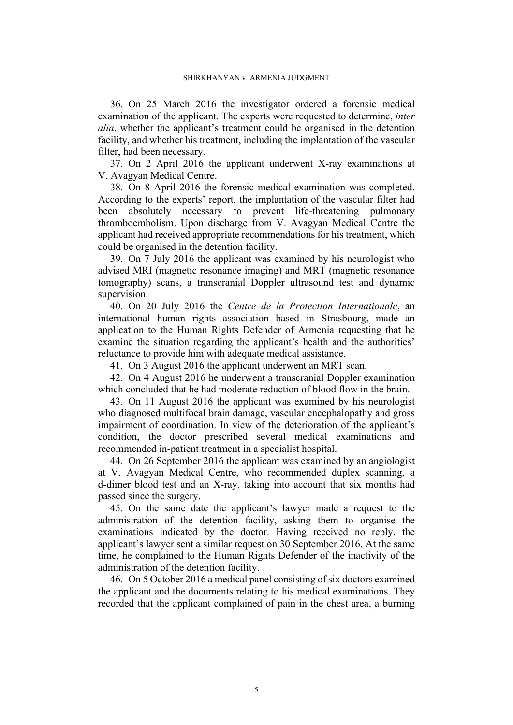36. On 25 March 2016 the investigator ordered a forensic medical examination of the applicant. The experts were requested to determine, *inter alia*, whether the applicant's treatment could be organised in the detention facility, and whether his treatment, including the implantation of the vascular filter, had been necessary.

37. On 2 April 2016 the applicant underwent X-ray examinations at V. Avagyan Medical Centre.

38. On 8 April 2016 the forensic medical examination was completed. According to the experts' report, the implantation of the vascular filter had been absolutely necessary to prevent life-threatening pulmonary thromboembolism. Upon discharge from V. Avagyan Medical Centre the applicant had received appropriate recommendations for his treatment, which could be organised in the detention facility.

<span id="page-6-1"></span>39. On 7 July 2016 the applicant was examined by his neurologist who advised MRI (magnetic resonance imaging) and MRT (magnetic resonance tomography) scans, a transcranial Doppler ultrasound test and dynamic supervision.

40. On 20 July 2016 the *Centre de la Protection Internationale*, an international human rights association based in Strasbourg, made an application to the Human Rights Defender of Armenia requesting that he examine the situation regarding the applicant's health and the authorities' reluctance to provide him with adequate medical assistance.

<span id="page-6-2"></span>41. On 3 August 2016 the applicant underwent an MRT scan.

42. On 4 August 2016 he underwent a transcranial Doppler examination which concluded that he had moderate reduction of blood flow in the brain.

<span id="page-6-0"></span>43. On 11 August 2016 the applicant was examined by his neurologist who diagnosed multifocal brain damage, vascular encephalopathy and gross impairment of coordination. In view of the deterioration of the applicant's condition, the doctor prescribed several medical examinations and recommended in-patient treatment in a specialist hospital.

44. On 26 September 2016 the applicant was examined by an angiologist at V. Avagyan Medical Centre, who recommended duplex scanning, a d-dimer blood test and an X-ray, taking into account that six months had passed since the surgery.

45. On the same date the applicant's lawyer made a request to the administration of the detention facility, asking them to organise the examinations indicated by the doctor. Having received no reply, the applicant's lawyer sent a similar request on 30 September 2016. At the same time, he complained to the Human Rights Defender of the inactivity of the administration of the detention facility.

46. On 5 October 2016 a medical panel consisting of six doctors examined the applicant and the documents relating to his medical examinations. They recorded that the applicant complained of pain in the chest area, a burning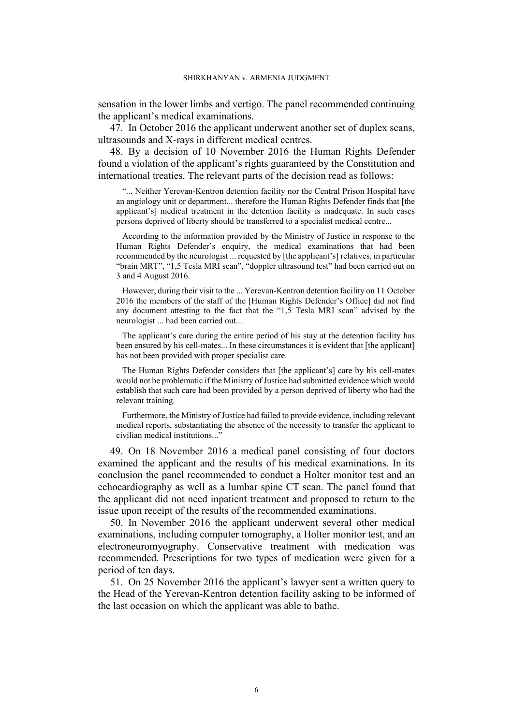sensation in the lower limbs and vertigo. The panel recommended continuing the applicant's medical examinations.

47. In October 2016 the applicant underwent another set of duplex scans, ultrasounds and X-rays in different medical centres.

<span id="page-7-1"></span>48. By a decision of 10 November 2016 the Human Rights Defender found a violation of the applicant's rights guaranteed by the Constitution and international treaties. The relevant parts of the decision read as follows:

"... Neither Yerevan-Kentron detention facility nor the Central Prison Hospital have an angiology unit or department... therefore the Human Rights Defender finds that [the applicant's] medical treatment in the detention facility is inadequate. In such cases persons deprived of liberty should be transferred to a specialist medical centre...

According to the information provided by the Ministry of Justice in response to the Human Rights Defender's enquiry, the medical examinations that had been recommended by the neurologist ... requested by [the applicant's] relatives, in particular "brain MRT", "1,5 Tesla MRI scan", "doppler ultrasound test" had been carried out on 3 and 4 August 2016.

However, during their visit to the ... Yerevan-Kentron detention facility on 11 October 2016 the members of the staff of the [Human Rights Defender's Office] did not find any document attesting to the fact that the "1,5 Tesla MRI scan" advised by the neurologist ... had been carried out...

The applicant's care during the entire period of his stay at the detention facility has been ensured by his cell-mates... In these circumstances it is evident that [the applicant] has not been provided with proper specialist care.

The Human Rights Defender considers that [the applicant's] care by his cell-mates would not be problematic if the Ministry of Justice had submitted evidence which would establish that such care had been provided by a person deprived of liberty who had the relevant training.

Furthermore, the Ministry of Justice had failed to provide evidence, including relevant medical reports, substantiating the absence of the necessity to transfer the applicant to civilian medical institutions..."

<span id="page-7-0"></span>49. On 18 November 2016 a medical panel consisting of four doctors examined the applicant and the results of his medical examinations. In its conclusion the panel recommended to conduct a Holter monitor test and an echocardiography as well as a lumbar spine CT scan. The panel found that the applicant did not need inpatient treatment and proposed to return to the issue upon receipt of the results of the recommended examinations.

50. In November 2016 the applicant underwent several other medical examinations, including computer tomography, a Holter monitor test, and an electroneuromyography. Conservative treatment with medication was recommended. Prescriptions for two types of medication were given for a period of ten days.

51. On 25 November 2016 the applicant's lawyer sent a written query to the Head of the Yerevan-Kentron detention facility asking to be informed of the last occasion on which the applicant was able to bathe.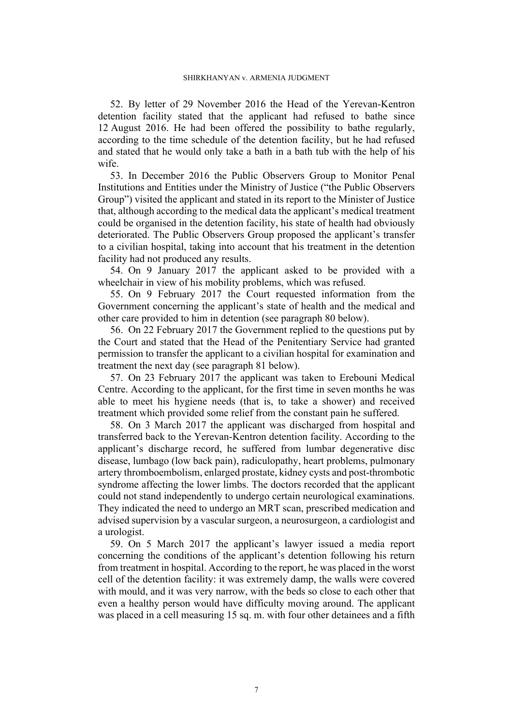<span id="page-8-6"></span>52. By letter of 29 November 2016 the Head of the Yerevan-Kentron detention facility stated that the applicant had refused to bathe since 12 August 2016. He had been offered the possibility to bathe regularly, according to the time schedule of the detention facility, but he had refused and stated that he would only take a bath in a bath tub with the help of his wife.

<span id="page-8-3"></span>53. In December 2016 the Public Observers Group to Monitor Penal Institutions and Entities under the Ministry of Justice ("the Public Observers Group") visited the applicant and stated in its report to the Minister of Justice that, although according to the medical data the applicant's medical treatment could be organised in the detention facility, his state of health had obviously deteriorated. The Public Observers Group proposed the applicant's transfer to a civilian hospital, taking into account that his treatment in the detention facility had not produced any results.

<span id="page-8-5"></span>54. On 9 January 2017 the applicant asked to be provided with a wheelchair in view of his mobility problems, which was refused.

55. On 9 February 2017 the Court requested information from the Government concerning the applicant's state of health and the medical and other care provided to him in detention (see paragraph [80](#page-12-0) below).

<span id="page-8-4"></span>56. On 22 February 2017 the Government replied to the questions put by the Court and stated that the Head of the Penitentiary Service had granted permission to transfer the applicant to a civilian hospital for examination and treatment the next day (see paragraph [81](#page-12-1) below).

<span id="page-8-0"></span>57. On 23 February 2017 the applicant was taken to Erebouni Medical Centre. According to the applicant, for the first time in seven months he was able to meet his hygiene needs (that is, to take a shower) and received treatment which provided some relief from the constant pain he suffered.

<span id="page-8-2"></span>58. On 3 March 2017 the applicant was discharged from hospital and transferred back to the Yerevan-Kentron detention facility. According to the applicant's discharge record, he suffered from lumbar degenerative disc disease, lumbago (low back pain), radiculopathy, heart problems, pulmonary artery thromboembolism, enlarged prostate, kidney cysts and post-thrombotic syndrome affecting the lower limbs. The doctors recorded that the applicant could not stand independently to undergo certain neurological examinations. They indicated the need to undergo an MRT scan, prescribed medication and advised supervision by a vascular surgeon, a neurosurgeon, a cardiologist and a urologist.

<span id="page-8-1"></span>59. On 5 March 2017 the applicant's lawyer issued a media report concerning the conditions of the applicant's detention following his return from treatment in hospital. According to the report, he was placed in the worst cell of the detention facility: it was extremely damp, the walls were covered with mould, and it was very narrow, with the beds so close to each other that even a healthy person would have difficulty moving around. The applicant was placed in a cell measuring 15 sq. m. with four other detainees and a fifth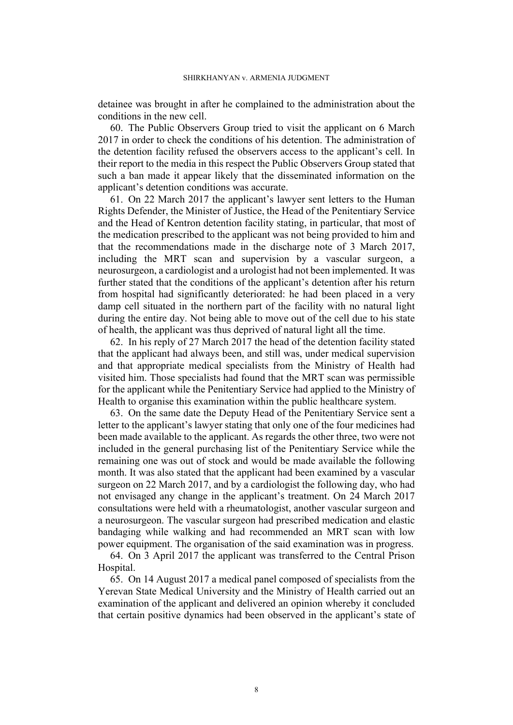detainee was brought in after he complained to the administration about the conditions in the new cell.

60. The Public Observers Group tried to visit the applicant on 6 March 2017 in order to check the conditions of his detention. The administration of the detention facility refused the observers access to the applicant's cell. In their report to the media in this respect the Public Observers Group stated that such a ban made it appear likely that the disseminated information on the applicant's detention conditions was accurate.

61. On 22 March 2017 the applicant's lawyer sent letters to the Human Rights Defender, the Minister of Justice, the Head of the Penitentiary Service and the Head of Kentron detention facility stating, in particular, that most of the medication prescribed to the applicant was not being provided to him and that the recommendations made in the discharge note of 3 March 2017, including the MRT scan and supervision by a vascular surgeon, a neurosurgeon, a cardiologist and a urologist had not been implemented. It was further stated that the conditions of the applicant's detention after his return from hospital had significantly deteriorated: he had been placed in a very damp cell situated in the northern part of the facility with no natural light during the entire day. Not being able to move out of the cell due to his state of health, the applicant was thus deprived of natural light all the time.

62. In his reply of 27 March 2017 the head of the detention facility stated that the applicant had always been, and still was, under medical supervision and that appropriate medical specialists from the Ministry of Health had visited him. Those specialists had found that the MRT scan was permissible for the applicant while the Penitentiary Service had applied to the Ministry of Health to organise this examination within the public healthcare system.

<span id="page-9-1"></span>63. On the same date the Deputy Head of the Penitentiary Service sent a letter to the applicant's lawyer stating that only one of the four medicines had been made available to the applicant. As regards the other three, two were not included in the general purchasing list of the Penitentiary Service while the remaining one was out of stock and would be made available the following month. It was also stated that the applicant had been examined by a vascular surgeon on 22 March 2017, and by a cardiologist the following day, who had not envisaged any change in the applicant's treatment. On 24 March 2017 consultations were held with a rheumatologist, another vascular surgeon and a neurosurgeon. The vascular surgeon had prescribed medication and elastic bandaging while walking and had recommended an MRT scan with low power equipment. The organisation of the said examination was in progress.

<span id="page-9-0"></span>64. On 3 April 2017 the applicant was transferred to the Central Prison Hospital.

65. On 14 August 2017 a medical panel composed of specialists from the Yerevan State Medical University and the Ministry of Health carried out an examination of the applicant and delivered an opinion whereby it concluded that certain positive dynamics had been observed in the applicant's state of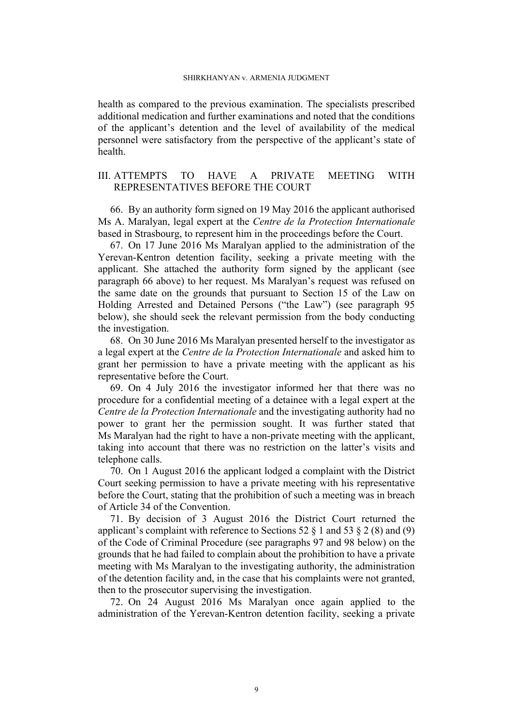health as compared to the previous examination. The specialists prescribed additional medication and further examinations and noted that the conditions of the applicant's detention and the level of availability of the medical personnel were satisfactory from the perspective of the applicant's state of health.

# III. ATTEMPTS TO HAVE A PRIVATE MEETING WITH REPRESENTATIVES BEFORE THE COURT

<span id="page-10-0"></span>66. By an authority form signed on 19 May 2016 the applicant authorised Ms A. Maralyan, legal expert at the *Centre de la Protection Internationale* based in Strasbourg, to represent him in the proceedings before the Court.

<span id="page-10-1"></span>67. On 17 June 2016 Ms Maralyan applied to the administration of the Yerevan-Kentron detention facility, seeking a private meeting with the applicant. She attached the authority form signed by the applicant (see paragraph [66](#page-10-0) above) to her request. Ms Maralyan's request was refused on the same date on the grounds that pursuant to Section 15 of the Law on Holding Arrested and Detained Persons ("the Law") (see paragraph [95](#page-14-0)  below), she should seek the relevant permission from the body conducting the investigation.

<span id="page-10-4"></span>68. On 30 June 2016 Ms Maralyan presented herself to the investigator as a legal expert at the *Centre de la Protection Internationale* and asked him to grant her permission to have a private meeting with the applicant as his representative before the Court.

<span id="page-10-2"></span>69. On 4 July 2016 the investigator informed her that there was no procedure for a confidential meeting of a detainee with a legal expert at the *Centre de la Protection Internationale* and the investigating authority had no power to grant her the permission sought. It was further stated that Ms Maralyan had the right to have a non-private meeting with the applicant, taking into account that there was no restriction on the latter's visits and telephone calls.

70. On 1 August 2016 the applicant lodged a complaint with the District Court seeking permission to have a private meeting with his representative before the Court, stating that the prohibition of such a meeting was in breach of Article 34 of the Convention.

<span id="page-10-5"></span>71. By decision of 3 August 2016 the District Court returned the applicant's complaint with reference to Sections 52  $\S$  1 and 53  $\S$  2 (8) and (9) of the Code of Criminal Procedure (see paragraphs [97](#page-15-0) and [98](#page-15-1) below) on the grounds that he had failed to complain about the prohibition to have a private meeting with Ms Maralyan to the investigating authority, the administration of the detention facility and, in the case that his complaints were not granted, then to the prosecutor supervising the investigation.

<span id="page-10-3"></span>72. On 24 August 2016 Ms Maralyan once again applied to the administration of the Yerevan-Kentron detention facility, seeking a private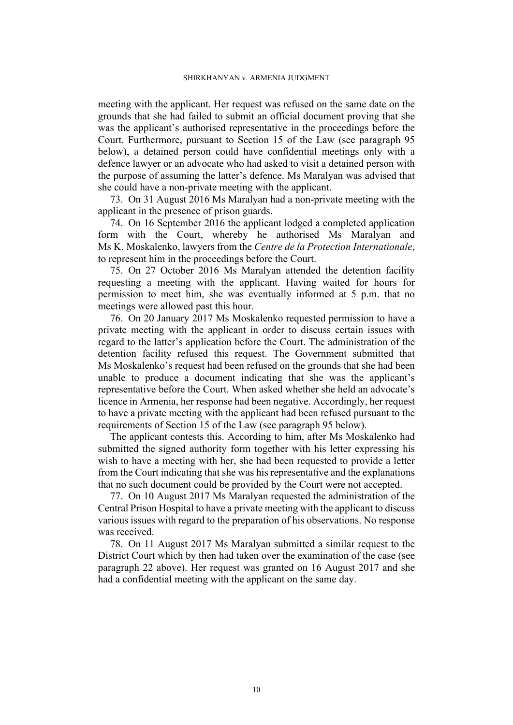meeting with the applicant. Her request was refused on the same date on the grounds that she had failed to submit an official document proving that she was the applicant's authorised representative in the proceedings before the Court. Furthermore, pursuant to Section 15 of the Law (see paragraph [95](#page-14-0)  below), a detained person could have confidential meetings only with a defence lawyer or an advocate who had asked to visit a detained person with the purpose of assuming the latter's defence. Ms Maralyan was advised that she could have a non-private meeting with the applicant.

73. On 31 August 2016 Ms Maralyan had a non-private meeting with the applicant in the presence of prison guards.

<span id="page-11-0"></span>74. On 16 September 2016 the applicant lodged a completed application form with the Court, whereby he authorised Ms Maralyan and Ms K. Moskalenko, lawyers from the *Centre de la Protection Internationale*, to represent him in the proceedings before the Court.

75. On 27 October 2016 Ms Maralyan attended the detention facility requesting a meeting with the applicant. Having waited for hours for permission to meet him, she was eventually informed at 5 p.m. that no meetings were allowed past this hour.

<span id="page-11-1"></span>76. On 20 January 2017 Ms Moskalenko requested permission to have a private meeting with the applicant in order to discuss certain issues with regard to the latter's application before the Court. The administration of the detention facility refused this request. The Government submitted that Ms Moskalenko's request had been refused on the grounds that she had been unable to produce a document indicating that she was the applicant's representative before the Court. When asked whether she held an advocate's licence in Armenia, her response had been negative. Accordingly, her request to have a private meeting with the applicant had been refused pursuant to the requirements of Section 15 of the Law (see paragraph [95](#page-14-0) below).

The applicant contests this. According to him, after Ms Moskalenko had submitted the signed authority form together with his letter expressing his wish to have a meeting with her, she had been requested to provide a letter from the Court indicating that she was his representative and the explanations that no such document could be provided by the Court were not accepted.

<span id="page-11-2"></span>77. On 10 August 2017 Ms Maralyan requested the administration of the Central Prison Hospital to have a private meeting with the applicant to discuss various issues with regard to the preparation of his observations. No response was received.

<span id="page-11-3"></span>78. On 11 August 2017 Ms Maralyan submitted a similar request to the District Court which by then had taken over the examination of the case (see paragraph [22](#page-4-2) above). Her request was granted on 16 August 2017 and she had a confidential meeting with the applicant on the same day.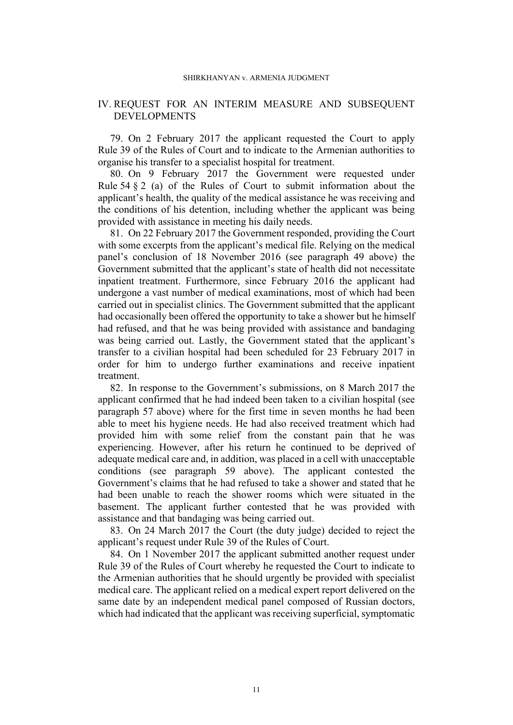#### SHIRKHANYAN v. ARMENIA JUDGMENT

# IV. REQUEST FOR AN INTERIM MEASURE AND SUBSEQUENT DEVELOPMENTS

<span id="page-12-2"></span>79. On 2 February 2017 the applicant requested the Court to apply Rule 39 of the Rules of Court and to indicate to the Armenian authorities to organise his transfer to a specialist hospital for treatment.

<span id="page-12-0"></span>80. On 9 February 2017 the Government were requested under Rule 54 § 2 (a) of the Rules of Court to submit information about the applicant's health, the quality of the medical assistance he was receiving and the conditions of his detention, including whether the applicant was being provided with assistance in meeting his daily needs.

<span id="page-12-1"></span>81. On 22 February 2017 the Government responded, providing the Court with some excerpts from the applicant's medical file. Relying on the medical panel's conclusion of 18 November 2016 (see paragraph [49](#page-7-0) above) the Government submitted that the applicant's state of health did not necessitate inpatient treatment. Furthermore, since February 2016 the applicant had undergone a vast number of medical examinations, most of which had been carried out in specialist clinics. The Government submitted that the applicant had occasionally been offered the opportunity to take a shower but he himself had refused, and that he was being provided with assistance and bandaging was being carried out. Lastly, the Government stated that the applicant's transfer to a civilian hospital had been scheduled for 23 February 2017 in order for him to undergo further examinations and receive inpatient treatment.

<span id="page-12-3"></span>82. In response to the Government's submissions, on 8 March 2017 the applicant confirmed that he had indeed been taken to a civilian hospital (see paragraph [57](#page-8-0) above) where for the first time in seven months he had been able to meet his hygiene needs. He had also received treatment which had provided him with some relief from the constant pain that he was experiencing. However, after his return he continued to be deprived of adequate medical care and, in addition, was placed in a cell with unacceptable conditions (see paragraph [59](#page-8-1) above). The applicant contested the Government's claims that he had refused to take a shower and stated that he had been unable to reach the shower rooms which were situated in the basement. The applicant further contested that he was provided with assistance and that bandaging was being carried out.

83. On 24 March 2017 the Court (the duty judge) decided to reject the applicant's request under Rule 39 of the Rules of Court.

84. On 1 November 2017 the applicant submitted another request under Rule 39 of the Rules of Court whereby he requested the Court to indicate to the Armenian authorities that he should urgently be provided with specialist medical care. The applicant relied on a medical expert report delivered on the same date by an independent medical panel composed of Russian doctors, which had indicated that the applicant was receiving superficial, symptomatic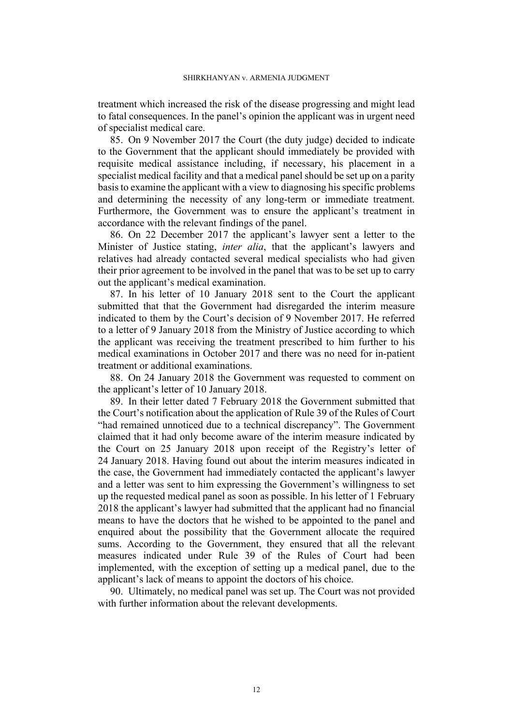treatment which increased the risk of the disease progressing and might lead to fatal consequences. In the panel's opinion the applicant was in urgent need of specialist medical care.

<span id="page-13-0"></span>85. On 9 November 2017 the Court (the duty judge) decided to indicate to the Government that the applicant should immediately be provided with requisite medical assistance including, if necessary, his placement in a specialist medical facility and that a medical panel should be set up on a parity basis to examine the applicant with a view to diagnosing his specific problems and determining the necessity of any long-term or immediate treatment. Furthermore, the Government was to ensure the applicant's treatment in accordance with the relevant findings of the panel.

86. On 22 December 2017 the applicant's lawyer sent a letter to the Minister of Justice stating, *inter alia*, that the applicant's lawyers and relatives had already contacted several medical specialists who had given their prior agreement to be involved in the panel that was to be set up to carry out the applicant's medical examination.

<span id="page-13-1"></span>87. In his letter of 10 January 2018 sent to the Court the applicant submitted that that the Government had disregarded the interim measure indicated to them by the Court's decision of 9 November 2017. He referred to a letter of 9 January 2018 from the Ministry of Justice according to which the applicant was receiving the treatment prescribed to him further to his medical examinations in October 2017 and there was no need for in-patient treatment or additional examinations.

88. On 24 January 2018 the Government was requested to comment on the applicant's letter of 10 January 2018.

<span id="page-13-3"></span>89. In their letter dated 7 February 2018 the Government submitted that the Court's notification about the application of Rule 39 of the Rules of Court "had remained unnoticed due to a technical discrepancy". The Government claimed that it had only become aware of the interim measure indicated by the Court on 25 January 2018 upon receipt of the Registry's letter of 24 January 2018. Having found out about the interim measures indicated in the case, the Government had immediately contacted the applicant's lawyer and a letter was sent to him expressing the Government's willingness to set up the requested medical panel as soon as possible. In his letter of 1 February 2018 the applicant's lawyer had submitted that the applicant had no financial means to have the doctors that he wished to be appointed to the panel and enquired about the possibility that the Government allocate the required sums. According to the Government, they ensured that all the relevant measures indicated under Rule 39 of the Rules of Court had been implemented, with the exception of setting up a medical panel, due to the applicant's lack of means to appoint the doctors of his choice.

<span id="page-13-2"></span>90. Ultimately, no medical panel was set up. The Court was not provided with further information about the relevant developments.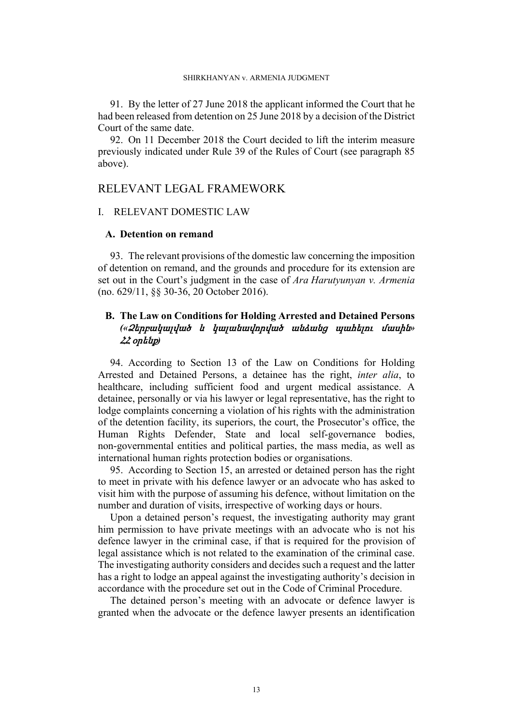<span id="page-14-2"></span>91. By the letter of 27 June 2018 the applicant informed the Court that he had been released from detention on 25 June 2018 by a decision of the District Court of the same date.

92. On 11 December 2018 the Court decided to lift the interim measure previously indicated under Rule 39 of the Rules of Court (see paragraph [85](#page-13-0)  above).

# RELEVANT LEGAL FRAMEWORK

# I. RELEVANT DOMESTIC LAW

# **A. Detention on remand**

93. The relevant provisions of the domestic law concerning the imposition of detention on remand, and the grounds and procedure for its extension are set out in the Court's judgment in the case of *Ara Harutyunyan v. Armenia* (no. 629/11, §§ 30-36, 20 October 2016).

# **B. The Law on Conditions for Holding Arrested and Detained Persons**  *(«Ձերբակալված <sup>և</sup> կալանավորված անձանց պահելու մասին» ՀՀ օրենք)*

<span id="page-14-1"></span>94. According to Section 13 of the Law on Conditions for Holding Arrested and Detained Persons, a detainee has the right, *inter alia*, to healthcare, including sufficient food and urgent medical assistance. A detainee, personally or via his lawyer or legal representative, has the right to lodge complaints concerning a violation of his rights with the administration of the detention facility, its superiors, the court, the Prosecutor's office, the Human Rights Defender, State and local self-governance bodies, non-governmental entities and political parties, the mass media, as well as international human rights protection bodies or organisations.

<span id="page-14-0"></span>95. According to Section 15, an arrested or detained person has the right to meet in private with his defence lawyer or an advocate who has asked to visit him with the purpose of assuming his defence, without limitation on the number and duration of visits, irrespective of working days or hours.

Upon a detained person's request, the investigating authority may grant him permission to have private meetings with an advocate who is not his defence lawyer in the criminal case, if that is required for the provision of legal assistance which is not related to the examination of the criminal case. The investigating authority considers and decides such a request and the latter has a right to lodge an appeal against the investigating authority's decision in accordance with the procedure set out in the Code of Criminal Procedure.

The detained person's meeting with an advocate or defence lawyer is granted when the advocate or the defence lawyer presents an identification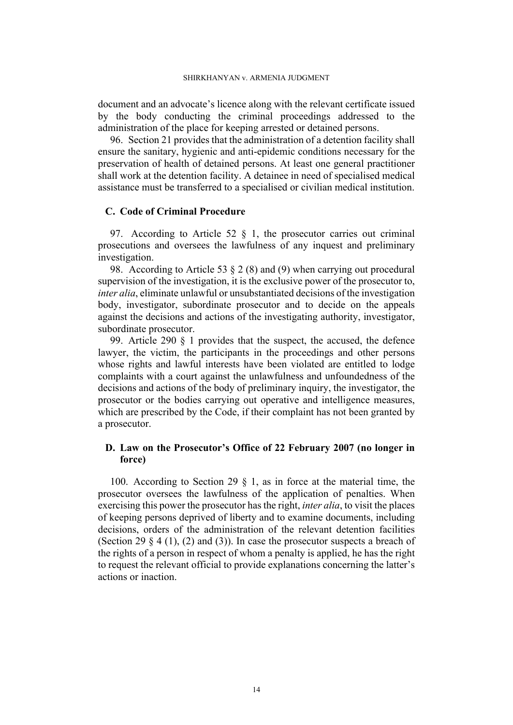document and an advocate's licence along with the relevant certificate issued by the body conducting the criminal proceedings addressed to the administration of the place for keeping arrested or detained persons.

96. Section 21 provides that the administration of a detention facility shall ensure the sanitary, hygienic and anti-epidemic conditions necessary for the preservation of health of detained persons. At least one general practitioner shall work at the detention facility. A detainee in need of specialised medical assistance must be transferred to a specialised or civilian medical institution.

# **C. Code of Criminal Procedure**

<span id="page-15-0"></span>97. According to Article 52 § 1, the prosecutor carries out criminal prosecutions and oversees the lawfulness of any inquest and preliminary investigation.

<span id="page-15-1"></span>98. According to Article 53 § 2 (8) and (9) when carrying out procedural supervision of the investigation, it is the exclusive power of the prosecutor to, *inter alia*, eliminate unlawful or unsubstantiated decisions of the investigation body, investigator, subordinate prosecutor and to decide on the appeals against the decisions and actions of the investigating authority, investigator, subordinate prosecutor.

<span id="page-15-3"></span>99. Article 290 § 1 provides that the suspect, the accused, the defence lawyer, the victim, the participants in the proceedings and other persons whose rights and lawful interests have been violated are entitled to lodge complaints with a court against the unlawfulness and unfoundedness of the decisions and actions of the body of preliminary inquiry, the investigator, the prosecutor or the bodies carrying out operative and intelligence measures, which are prescribed by the Code, if their complaint has not been granted by a prosecutor.

# **D. Law on the Prosecutor's Office of 22 February 2007 (no longer in force)**

<span id="page-15-2"></span>100. According to Section 29 § 1, as in force at the material time, the prosecutor oversees the lawfulness of the application of penalties. When exercising this power the prosecutor has the right, *inter alia*, to visit the places of keeping persons deprived of liberty and to examine documents, including decisions, orders of the administration of the relevant detention facilities (Section 29  $\S$  4 (1), (2) and (3)). In case the prosecutor suspects a breach of the rights of a person in respect of whom a penalty is applied, he has the right to request the relevant official to provide explanations concerning the latter's actions or inaction.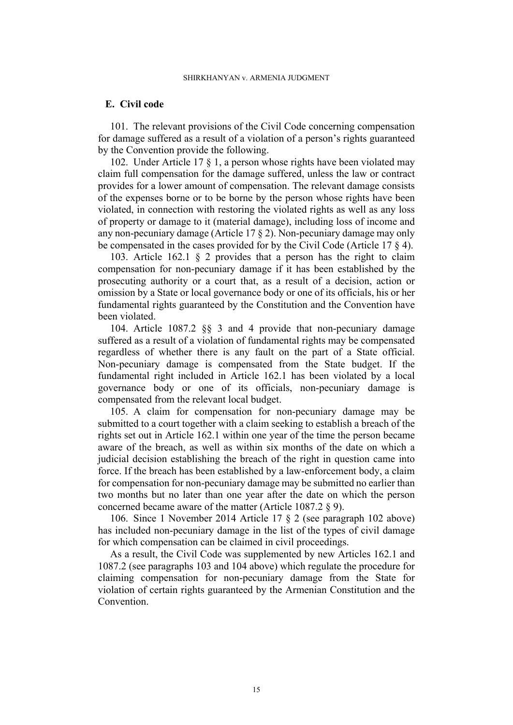# **E. Civil code**

<span id="page-16-3"></span>101. The relevant provisions of the Civil Code concerning compensation for damage suffered as a result of a violation of a person's rights guaranteed by the Convention provide the following.

<span id="page-16-0"></span>102. Under Article 17 § 1, a person whose rights have been violated may claim full compensation for the damage suffered, unless the law or contract provides for a lower amount of compensation. The relevant damage consists of the expenses borne or to be borne by the person whose rights have been violated, in connection with restoring the violated rights as well as any loss of property or damage to it (material damage), including loss of income and any non-pecuniary damage (Article 17 § 2). Non-pecuniary damage may only be compensated in the cases provided for by the Civil Code (Article 17 § 4).

<span id="page-16-1"></span>103. Article 162.1 § 2 provides that a person has the right to claim compensation for non-pecuniary damage if it has been established by the prosecuting authority or a court that, as a result of a decision, action or omission by a State or local governance body or one of its officials, his or her fundamental rights guaranteed by the Constitution and the Convention have been violated.

<span id="page-16-2"></span>104. Article 1087.2 §§ 3 and 4 provide that non-pecuniary damage suffered as a result of a violation of fundamental rights may be compensated regardless of whether there is any fault on the part of a State official. Non-pecuniary damage is compensated from the State budget. If the fundamental right included in Article 162.1 has been violated by a local governance body or one of its officials, non-pecuniary damage is compensated from the relevant local budget.

<span id="page-16-4"></span>105. A claim for compensation for non-pecuniary damage may be submitted to a court together with a claim seeking to establish a breach of the rights set out in Article 162.1 within one year of the time the person became aware of the breach, as well as within six months of the date on which a judicial decision establishing the breach of the right in question came into force. If the breach has been established by a law-enforcement body, a claim for compensation for non-pecuniary damage may be submitted no earlier than two months but no later than one year after the date on which the person concerned became aware of the matter (Article 1087.2 § 9).

<span id="page-16-5"></span>106. Since 1 November 2014 Article 17 § 2 (see paragraph [102](#page-16-0) above) has included non-pecuniary damage in the list of the types of civil damage for which compensation can be claimed in civil proceedings.

As a result, the Civil Code was supplemented by new Articles 162.1 and 1087.2 (see paragraphs [103](#page-16-1) and [104](#page-16-2) above) which regulate the procedure for claiming compensation for non-pecuniary damage from the State for violation of certain rights guaranteed by the Armenian Constitution and the **Convention**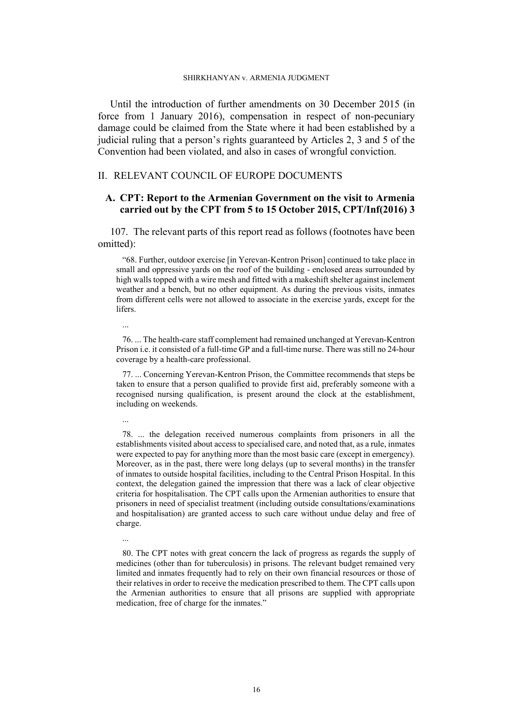#### SHIRKHANYAN v. ARMENIA JUDGMENT

Until the introduction of further amendments on 30 December 2015 (in force from 1 January 2016), compensation in respect of non-pecuniary damage could be claimed from the State where it had been established by a judicial ruling that a person's rights guaranteed by Articles 2, 3 and 5 of the Convention had been violated, and also in cases of wrongful conviction.

# II. RELEVANT COUNCIL OF EUROPE DOCUMENTS

# **A. CPT: Report to the Armenian Government on the visit to Armenia carried out by the CPT from 5 to 15 October 2015, CPT/Inf(2016) 3**

<span id="page-17-0"></span>107. The relevant parts of this report read as follows (footnotes have been omitted):

"68. Further, outdoor exercise [in Yerevan-Kentron Prison] continued to take place in small and oppressive yards on the roof of the building - enclosed areas surrounded by high walls topped with a wire mesh and fitted with a makeshift shelter against inclement weather and a bench, but no other equipment. As during the previous visits, inmates from different cells were not allowed to associate in the exercise yards, except for the lifers.

...

76. ... The health-care staff complement had remained unchanged at Yerevan-Kentron Prison i.e. it consisted of a full-time GP and a full-time nurse. There was still no 24-hour coverage by a health-care professional.

77. ... Concerning Yerevan-Kentron Prison, the Committee recommends that steps be taken to ensure that a person qualified to provide first aid, preferably someone with a recognised nursing qualification, is present around the clock at the establishment, including on weekends.

...

...

78. ... the delegation received numerous complaints from prisoners in all the establishments visited about access to specialised care, and noted that, as a rule, inmates were expected to pay for anything more than the most basic care (except in emergency). Moreover, as in the past, there were long delays (up to several months) in the transfer of inmates to outside hospital facilities, including to the Central Prison Hospital. In this context, the delegation gained the impression that there was a lack of clear objective criteria for hospitalisation. The CPT calls upon the Armenian authorities to ensure that prisoners in need of specialist treatment (including outside consultations/examinations and hospitalisation) are granted access to such care without undue delay and free of charge.

<sup>80.</sup> The CPT notes with great concern the lack of progress as regards the supply of medicines (other than for tuberculosis) in prisons. The relevant budget remained very limited and inmates frequently had to rely on their own financial resources or those of their relatives in order to receive the medication prescribed to them. The CPT calls upon the Armenian authorities to ensure that all prisons are supplied with appropriate medication, free of charge for the inmates."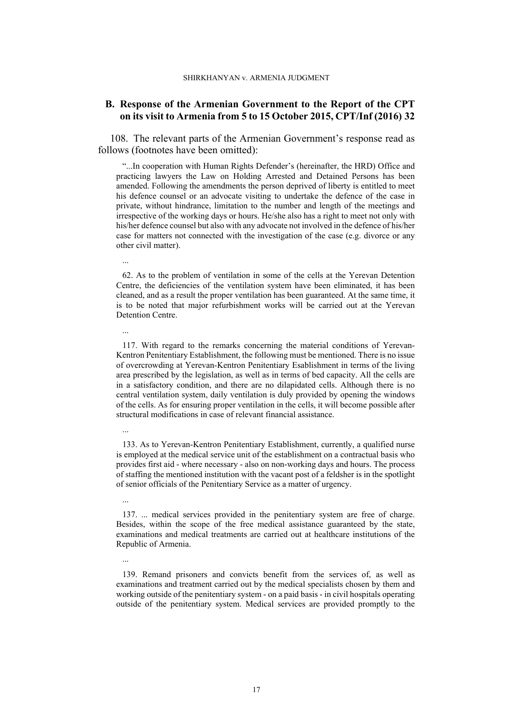# **B. Response of the Armenian Government to the Report of the CPT on its visit to Armenia from 5 to 15 October 2015, CPT/Inf (2016) 32**

108. The relevant parts of the Armenian Government's response read as follows (footnotes have been omitted):

"...In cooperation with Human Rights Defender's (hereinafter, the HRD) Office and practicing lawyers the Law on Holding Arrested and Detained Persons has been amended. Following the amendments the person deprived of liberty is entitled to meet his defence counsel or an advocate visiting to undertake the defence of the case in private, without hindrance, limitation to the number and length of the meetings and irrespective of the working days or hours. He/she also has a right to meet not only with his/her defence counsel but also with any advocate not involved in the defence of his/her case for matters not connected with the investigation of the case (e.g. divorce or any other civil matter).

...

62. As to the problem of ventilation in some of the cells at the Yerevan Detention Centre, the deficiencies of the ventilation system have been eliminated, it has been cleaned, and as a result the proper ventilation has been guaranteed. At the same time, it is to be noted that major refurbishment works will be carried out at the Yerevan Detention Centre.

# ...

117. With regard to the remarks concerning the material conditions of Yerevan-Kentron Penitentiary Establishment, the following must be mentioned. There is no issue of overcrowding at Yerevan-Kentron Penitentiary Esablishment in terms of the living area prescribed by the legislation, as well as in terms of bed capacity. All the cells are in a satisfactory condition, and there are no dilapidated cells. Although there is no central ventilation system, daily ventilation is duly provided by opening the windows of the cells. As for ensuring proper ventilation in the cells, it will become possible after structural modifications in case of relevant financial assistance.

# ...

133. As to Yerevan-Kentron Penitentiary Establishment, currently, a qualified nurse is employed at the medical service unit of the establishment on a contractual basis who provides first aid - where necessary - also on non-working days and hours. The process of staffing the mentioned institution with the vacant post of a feldsher is in the spotlight of senior officials of the Penitentiary Service as a matter of urgency.

## ...

...

137. ... medical services provided in the penitentiary system are free of charge. Besides, within the scope of the free medical assistance guaranteed by the state, examinations and medical treatments are carried out at healthcare institutions of the Republic of Armenia.

139. Remand prisoners and convicts benefit from the services of, as well as examinations and treatment carried out by the medical specialists chosen by them and working outside of the penitentiary system - on a paid basis - in civil hospitals operating outside of the penitentiary system. Medical services are provided promptly to the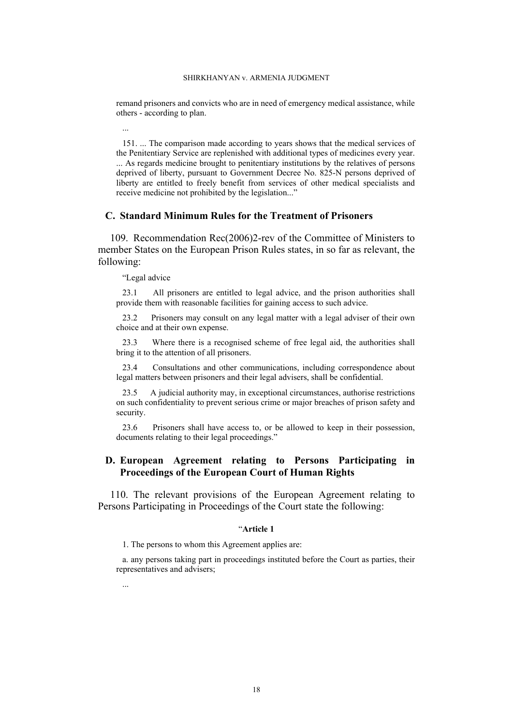remand prisoners and convicts who are in need of emergency medical assistance, while others - according to plan.

...

151. ... The comparison made according to years shows that the medical services of the Penitentiary Service are replenished with additional types of medicines every year. ... As regards medicine brought to penitentiary institutions by the relatives of persons deprived of liberty, pursuant to Government Decree No. 825-N persons deprived of liberty are entitled to freely benefit from services of other medical specialists and receive medicine not prohibited by the legislation..."

# **C. Standard Minimum Rules for the Treatment of Prisoners**

<span id="page-19-0"></span>109. Recommendation Rec(2006)2-rev of the Committee of Ministers to member States on the European Prison Rules states, in so far as relevant, the following:

"Legal advice

...

23.1 All prisoners are entitled to legal advice, and the prison authorities shall provide them with reasonable facilities for gaining access to such advice.

23.2 Prisoners may consult on any legal matter with a legal adviser of their own choice and at their own expense.

23.3 Where there is a recognised scheme of free legal aid, the authorities shall bring it to the attention of all prisoners.

23.4 Consultations and other communications, including correspondence about legal matters between prisoners and their legal advisers, shall be confidential.

23.5 A judicial authority may, in exceptional circumstances, authorise restrictions on such confidentiality to prevent serious crime or major breaches of prison safety and security.

23.6 Prisoners shall have access to, or be allowed to keep in their possession, documents relating to their legal proceedings."

# **D. European Agreement relating to Persons Participating in Proceedings of the European Court of Human Rights**

<span id="page-19-1"></span>110. The relevant provisions of the European Agreement relating to Persons Participating in Proceedings of the Court state the following:

#### "**Article 1**

1. The persons to whom this Agreement applies are:

a. any persons taking part in proceedings instituted before the Court as parties, their representatives and advisers;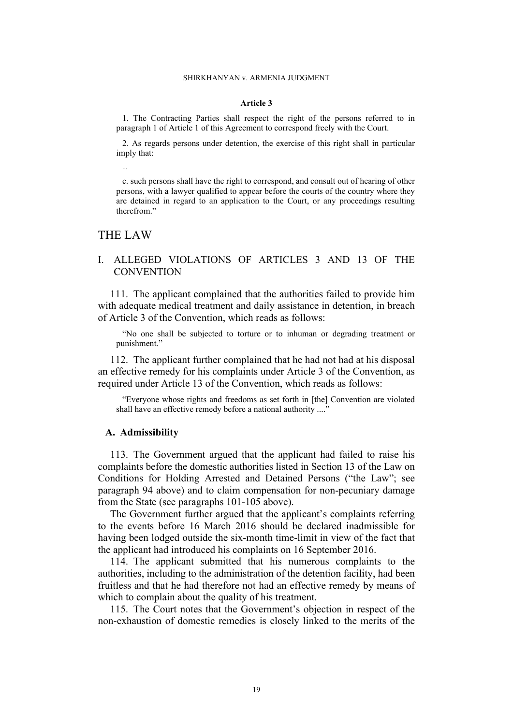#### **Article 3**

1. The Contracting Parties shall respect the right of the persons referred to in paragraph 1 of Article 1 of this Agreement to correspond freely with the Court.

2. As regards persons under detention, the exercise of this right shall in particular imply that:

c. such persons shall have the right to correspond, and consult out of hearing of other persons, with a lawyer qualified to appear before the courts of the country where they are detained in regard to an application to the Court, or any proceedings resulting therefrom."

# THE LAW

...

# I. ALLEGED VIOLATIONS OF ARTICLES 3 AND 13 OF THE **CONVENTION**

111. The applicant complained that the authorities failed to provide him with adequate medical treatment and daily assistance in detention, in breach of Article 3 of the Convention, which reads as follows:

"No one shall be subjected to torture or to inhuman or degrading treatment or punishment."

112. The applicant further complained that he had not had at his disposal an effective remedy for his complaints under Article 3 of the Convention, as required under Article 13 of the Convention, which reads as follows:

"Everyone whose rights and freedoms as set forth in [the] Convention are violated shall have an effective remedy before a national authority ...."

### **A. Admissibility**

<span id="page-20-0"></span>113. The Government argued that the applicant had failed to raise his complaints before the domestic authorities listed in Section 13 of the Law on Conditions for Holding Arrested and Detained Persons ("the Law"; see paragraph [94](#page-14-1) above) and to claim compensation for non-pecuniary damage from the State (see paragraphs [101-](#page-16-3)[105](#page-16-4) above).

The Government further argued that the applicant's complaints referring to the events before 16 March 2016 should be declared inadmissible for having been lodged outside the six-month time-limit in view of the fact that the applicant had introduced his complaints on 16 September 2016.

114. The applicant submitted that his numerous complaints to the authorities, including to the administration of the detention facility, had been fruitless and that he had therefore not had an effective remedy by means of which to complain about the quality of his treatment.

115. The Court notes that the Government's objection in respect of the non-exhaustion of domestic remedies is closely linked to the merits of the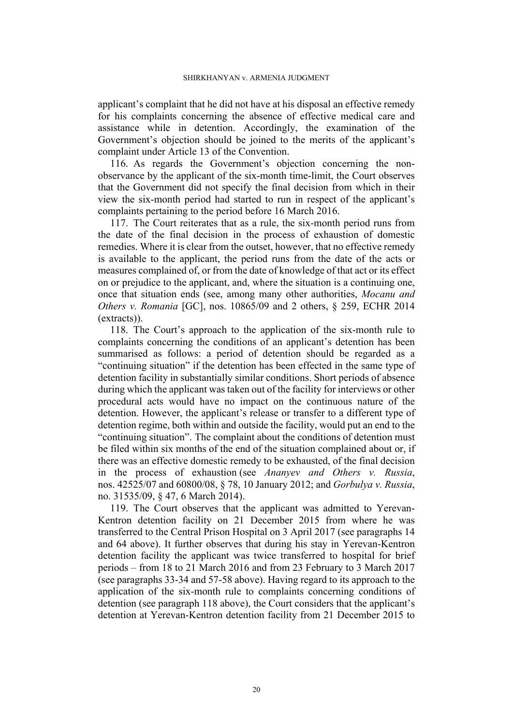applicant's complaint that he did not have at his disposal an effective remedy for his complaints concerning the absence of effective medical care and assistance while in detention. Accordingly, the examination of the Government's objection should be joined to the merits of the applicant's complaint under Article 13 of the Convention.

116. As regards the Government's objection concerning the nonobservance by the applicant of the six-month time-limit, the Court observes that the Government did not specify the final decision from which in their view the six-month period had started to run in respect of the applicant's complaints pertaining to the period before 16 March 2016.

117. The Court reiterates that as a rule, the six-month period runs from the date of the final decision in the process of exhaustion of domestic remedies. Where it is clear from the outset, however, that no effective remedy is available to the applicant, the period runs from the date of the acts or measures complained of, or from the date of knowledge of that act or its effect on or prejudice to the applicant, and, where the situation is a continuing one, once that situation ends (see, among many other authorities, *Mocanu and Others v. Romania* [GC], nos. 10865/09 and 2 others, § 259, ECHR 2014 (extracts)).

<span id="page-21-0"></span>118. The Court's approach to the application of the six-month rule to complaints concerning the conditions of an applicant's detention has been summarised as follows: a period of detention should be regarded as a "continuing situation" if the detention has been effected in the same type of detention facility in substantially similar conditions. Short periods of absence during which the applicant was taken out of the facility for interviews or other procedural acts would have no impact on the continuous nature of the detention. However, the applicant's release or transfer to a different type of detention regime, both within and outside the facility, would put an end to the "continuing situation". The complaint about the conditions of detention must be filed within six months of the end of the situation complained about or, if there was an effective domestic remedy to be exhausted, of the final decision in the process of exhaustion (see *Ananyev and Others v. Russia*, nos. 42525/07 and 60800/08, § 78, 10 January 2012; and *Gorbulya v. Russia*, no. 31535/09, § 47, 6 March 2014).

119. The Court observes that the applicant was admitted to Yerevan-Kentron detention facility on 21 December 2015 from where he was transferred to the Central Prison Hospital on 3 April 2017 (see paragraphs [14](#page-4-3)  and [64](#page-9-0) above). It further observes that during his stay in Yerevan-Kentron detention facility the applicant was twice transferred to hospital for brief periods – from 18 to 21 March 2016 and from 23 February to 3 March 2017 (see paragraphs [33](#page-5-0)[-34](#page-5-1) and [57-](#page-8-0)[58](#page-8-2) above). Having regard to its approach to the application of the six-month rule to complaints concerning conditions of detention (see paragraph [118](#page-21-0) above), the Court considers that the applicant's detention at Yerevan-Kentron detention facility from 21 December 2015 to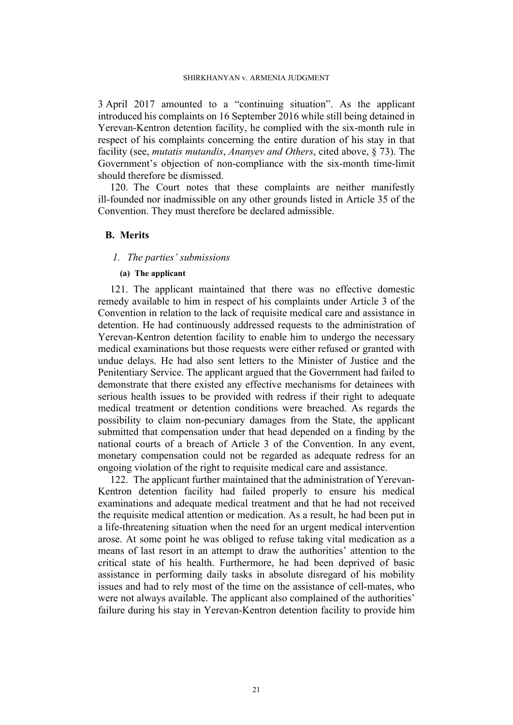3 April 2017 amounted to a "continuing situation". As the applicant introduced his complaints on 16 September 2016 while still being detained in Yerevan-Kentron detention facility, he complied with the six-month rule in respect of his complaints concerning the entire duration of his stay in that facility (see, *mutatis mutandis*, *Ananyev and Others*, cited above, § 73). The Government's objection of non-compliance with the six-month time-limit should therefore be dismissed.

120. The Court notes that these complaints are neither manifestly ill-founded nor inadmissible on any other grounds listed in Article 35 of the Convention. They must therefore be declared admissible.

## **B. Merits**

#### *1. The parties' submissions*

## **(a) The applicant**

121. The applicant maintained that there was no effective domestic remedy available to him in respect of his complaints under Article 3 of the Convention in relation to the lack of requisite medical care and assistance in detention. He had continuously addressed requests to the administration of Yerevan-Kentron detention facility to enable him to undergo the necessary medical examinations but those requests were either refused or granted with undue delays. He had also sent letters to the Minister of Justice and the Penitentiary Service. The applicant argued that the Government had failed to demonstrate that there existed any effective mechanisms for detainees with serious health issues to be provided with redress if their right to adequate medical treatment or detention conditions were breached. As regards the possibility to claim non-pecuniary damages from the State, the applicant submitted that compensation under that head depended on a finding by the national courts of a breach of Article 3 of the Convention. In any event, monetary compensation could not be regarded as adequate redress for an ongoing violation of the right to requisite medical care and assistance.

<span id="page-22-0"></span>122. The applicant further maintained that the administration of Yerevan-Kentron detention facility had failed properly to ensure his medical examinations and adequate medical treatment and that he had not received the requisite medical attention or medication. As a result, he had been put in a life-threatening situation when the need for an urgent medical intervention arose. At some point he was obliged to refuse taking vital medication as a means of last resort in an attempt to draw the authorities' attention to the critical state of his health. Furthermore, he had been deprived of basic assistance in performing daily tasks in absolute disregard of his mobility issues and had to rely most of the time on the assistance of cell-mates, who were not always available. The applicant also complained of the authorities' failure during his stay in Yerevan-Kentron detention facility to provide him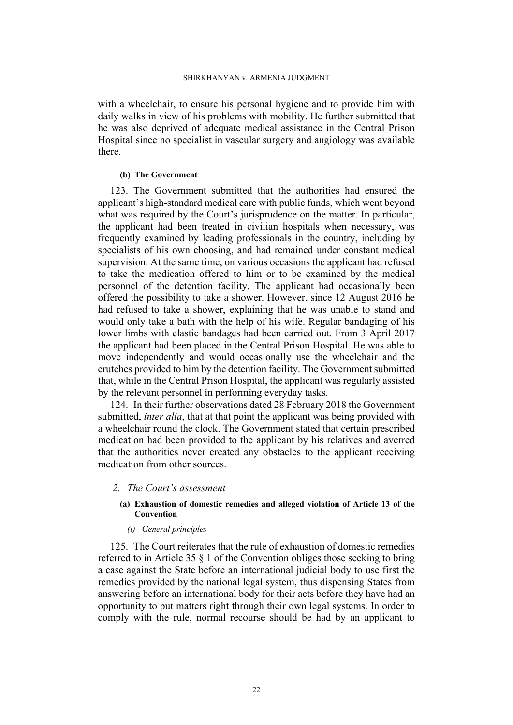with a wheelchair, to ensure his personal hygiene and to provide him with daily walks in view of his problems with mobility. He further submitted that he was also deprived of adequate medical assistance in the Central Prison Hospital since no specialist in vascular surgery and angiology was available there.

## **(b) The Government**

<span id="page-23-0"></span>123. The Government submitted that the authorities had ensured the applicant's high-standard medical care with public funds, which went beyond what was required by the Court's jurisprudence on the matter. In particular, the applicant had been treated in civilian hospitals when necessary, was frequently examined by leading professionals in the country, including by specialists of his own choosing, and had remained under constant medical supervision. At the same time, on various occasions the applicant had refused to take the medication offered to him or to be examined by the medical personnel of the detention facility. The applicant had occasionally been offered the possibility to take a shower. However, since 12 August 2016 he had refused to take a shower, explaining that he was unable to stand and would only take a bath with the help of his wife. Regular bandaging of his lower limbs with elastic bandages had been carried out. From 3 April 2017 the applicant had been placed in the Central Prison Hospital. He was able to move independently and would occasionally use the wheelchair and the crutches provided to him by the detention facility. The Government submitted that, while in the Central Prison Hospital, the applicant was regularly assisted by the relevant personnel in performing everyday tasks.

<span id="page-23-1"></span>124. In their further observations dated 28 February 2018 the Government submitted, *inter alia*, that at that point the applicant was being provided with a wheelchair round the clock. The Government stated that certain prescribed medication had been provided to the applicant by his relatives and averred that the authorities never created any obstacles to the applicant receiving medication from other sources.

## *2. The Court's assessment*

## **(a) Exhaustion of domestic remedies and alleged violation of Article 13 of the Convention**

# *(i) General principles*

125. The Court reiterates that the rule of exhaustion of domestic remedies referred to in Article 35 § 1 of the Convention obliges those seeking to bring a case against the State before an international judicial body to use first the remedies provided by the national legal system, thus dispensing States from answering before an international body for their acts before they have had an opportunity to put matters right through their own legal systems. In order to comply with the rule, normal recourse should be had by an applicant to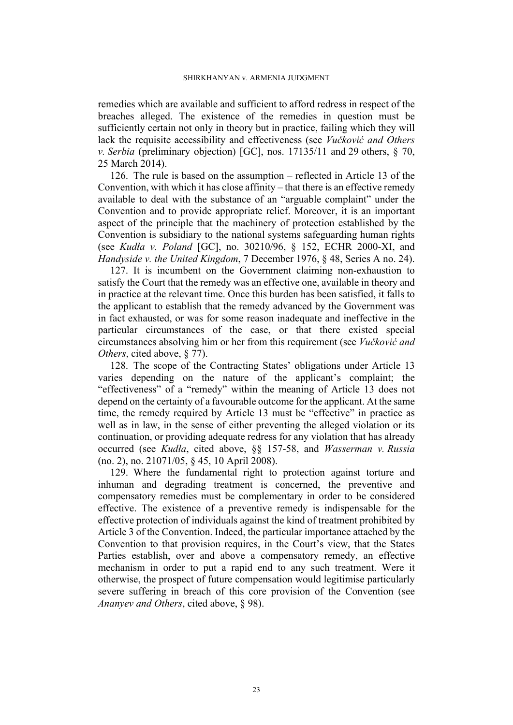remedies which are available and sufficient to afford redress in respect of the breaches alleged. The existence of the remedies in question must be sufficiently certain not only in theory but in practice, failing which they will lack the requisite accessibility and effectiveness (see *Vučković and Others v. Serbia* (preliminary objection) [GC], nos. 17135/11 and 29 others, § 70, 25 March 2014).

126. The rule is based on the assumption – reflected in Article 13 of the Convention, with which it has close affinity  $-$  that there is an effective remedy available to deal with the substance of an "arguable complaint" under the Convention and to provide appropriate relief. Moreover, it is an important aspect of the principle that the machinery of protection established by the Convention is subsidiary to the national systems safeguarding human rights (see *Kudła v. Poland* [GC], no. 30210/96, § 152, ECHR 2000-XI, and *Handyside v. the United Kingdom*, 7 December 1976, § 48, Series A no. 24).

127. It is incumbent on the Government claiming non-exhaustion to satisfy the Court that the remedy was an effective one, available in theory and in practice at the relevant time. Once this burden has been satisfied, it falls to the applicant to establish that the remedy advanced by the Government was in fact exhausted, or was for some reason inadequate and ineffective in the particular circumstances of the case, or that there existed special circumstances absolving him or her from this requirement (see *Vučković and Others*, cited above, § 77).

128. The scope of the Contracting States' obligations under Article 13 varies depending on the nature of the applicant's complaint; the "effectiveness" of a "remedy" within the meaning of Article 13 does not depend on the certainty of a favourable outcome for the applicant. At the same time, the remedy required by Article 13 must be "effective" in practice as well as in law, in the sense of either preventing the alleged violation or its continuation, or providing adequate redress for any violation that has already occurred (see *Kudła*, cited above, §§ 157-58, and *Wasserman v. Russia* (no. 2), no. 21071/05, § 45, 10 April 2008).

<span id="page-24-0"></span>129. Where the fundamental right to protection against torture and inhuman and degrading treatment is concerned, the preventive and compensatory remedies must be complementary in order to be considered effective. The existence of a preventive remedy is indispensable for the effective protection of individuals against the kind of treatment prohibited by Article 3 of the Convention. Indeed, the particular importance attached by the Convention to that provision requires, in the Court's view, that the States Parties establish, over and above a compensatory remedy, an effective mechanism in order to put a rapid end to any such treatment. Were it otherwise, the prospect of future compensation would legitimise particularly severe suffering in breach of this core provision of the Convention (see *Ananyev and Others*, cited above, § 98).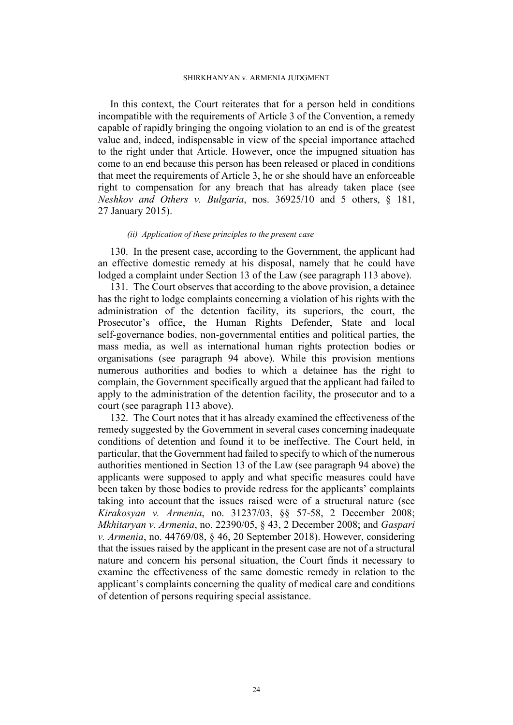#### SHIRKHANYAN v. ARMENIA JUDGMENT

In this context, the Court reiterates that for a person held in conditions incompatible with the requirements of Article 3 of the Convention, a remedy capable of rapidly bringing the ongoing violation to an end is of the greatest value and, indeed, indispensable in view of the special importance attached to the right under that Article. However, once the impugned situation has come to an end because this person has been released or placed in conditions that meet the requirements of Article 3, he or she should have an enforceable right to compensation for any breach that has already taken place (see *Neshkov and Others v. Bulgaria*, nos. 36925/10 and 5 others, § 181, 27 January 2015).

### *(ii) Application of these principles to the present case*

130. In the present case, according to the Government, the applicant had an effective domestic remedy at his disposal, namely that he could have lodged a complaint under Section 13 of the Law (see paragraph [113](#page-20-0) above).

131. The Court observes that according to the above provision, a detainee has the right to lodge complaints concerning a violation of his rights with the administration of the detention facility, its superiors, the court, the Prosecutor's office, the Human Rights Defender, State and local self-governance bodies, non-governmental entities and political parties, the mass media, as well as international human rights protection bodies or organisations (see paragraph [94](#page-14-1) above). While this provision mentions numerous authorities and bodies to which a detainee has the right to complain, the Government specifically argued that the applicant had failed to apply to the administration of the detention facility, the prosecutor and to a court (see paragraph [113](#page-20-0) above).

<span id="page-25-0"></span>132. The Court notes that it has already examined the effectiveness of the remedy suggested by the Government in several cases concerning inadequate conditions of detention and found it to be ineffective. The Court held, in particular, that the Government had failed to specify to which of the numerous authorities mentioned in Section 13 of the Law (see paragraph [94](#page-14-1) above) the applicants were supposed to apply and what specific measures could have been taken by those bodies to provide redress for the applicants' complaints taking into account that the issues raised were of a structural nature (see *Kirakosyan v. Armenia*, no. 31237/03, §§ 57-58, 2 December 2008; *Mkhitaryan v. Armenia*, no. 22390/05, § 43, 2 December 2008; and *Gaspari v. Armenia*, no. 44769/08, § 46, 20 September 2018). However, considering that the issues raised by the applicant in the present case are not of a structural nature and concern his personal situation, the Court finds it necessary to examine the effectiveness of the same domestic remedy in relation to the applicant's complaints concerning the quality of medical care and conditions of detention of persons requiring special assistance.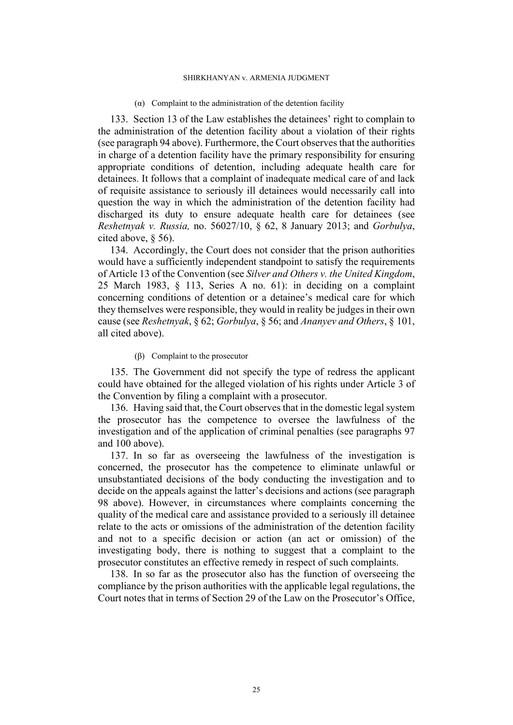#### ( $\alpha$ ) Complaint to the administration of the detention facility

133. Section 13 of the Law establishes the detainees' right to complain to the administration of the detention facility about a violation of their rights (see paragraph [94](#page-14-1) above). Furthermore, the Court observes that the authorities in charge of a detention facility have the primary responsibility for ensuring appropriate conditions of detention, including adequate health care for detainees. It follows that a complaint of inadequate medical care of and lack of requisite assistance to seriously ill detainees would necessarily call into question the way in which the administration of the detention facility had discharged its duty to ensure adequate health care for detainees (see *Reshetnyak v. Russia,* no. 56027/10, § 62, 8 January 2013; and *Gorbulya*, cited above, § 56).

134. Accordingly, the Court does not consider that the prison authorities would have a sufficiently independent standpoint to satisfy the requirements of Article 13 of the Convention (see *Silver and Others v. the United Kingdom*, 25 March 1983, § 113, Series A no. 61): in deciding on a complaint concerning conditions of detention or a detainee's medical care for which they themselves were responsible, they would in reality be judges in their own cause (see *Reshetnyak*, § 62; *Gorbulya*, § 56; and *Ananyev and Others*, § 101, all cited above).

## (β) Complaint to the prosecutor

135. The Government did not specify the type of redress the applicant could have obtained for the alleged violation of his rights under Article 3 of the Convention by filing a complaint with a prosecutor.

136. Having said that, the Court observes that in the domestic legal system the prosecutor has the competence to oversee the lawfulness of the investigation and of the application of criminal penalties (see paragraphs [97](#page-15-0)  and [100](#page-15-2) above).

137. In so far as overseeing the lawfulness of the investigation is concerned, the prosecutor has the competence to eliminate unlawful or unsubstantiated decisions of the body conducting the investigation and to decide on the appeals against the latter's decisions and actions (see paragraph [98](#page-15-1) above). However, in circumstances where complaints concerning the quality of the medical care and assistance provided to a seriously ill detainee relate to the acts or omissions of the administration of the detention facility and not to a specific decision or action (an act or omission) of the investigating body, there is nothing to suggest that a complaint to the prosecutor constitutes an effective remedy in respect of such complaints.

138. In so far as the prosecutor also has the function of overseeing the compliance by the prison authorities with the applicable legal regulations, the Court notes that in terms of Section 29 of the Law on the Prosecutor's Office,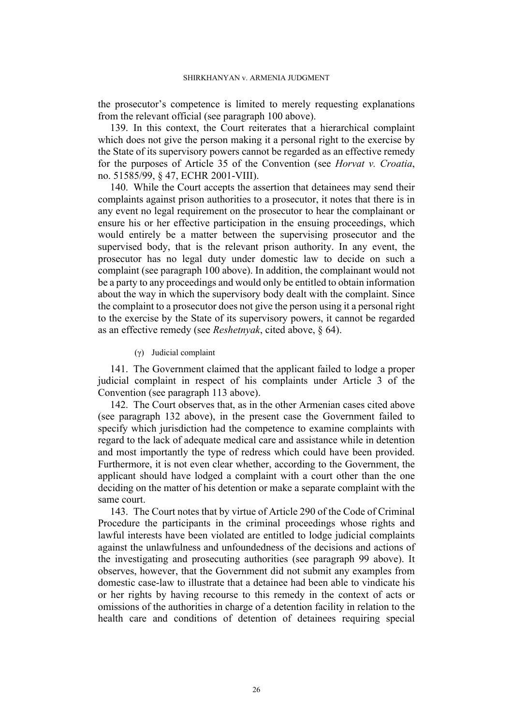the prosecutor's competence is limited to merely requesting explanations from the relevant official (see paragraph [100](#page-15-2) above).

139. In this context, the Court reiterates that a hierarchical complaint which does not give the person making it a personal right to the exercise by the State of its supervisory powers cannot be regarded as an effective remedy for the purposes of Article 35 of the Convention (see *Horvat v. Croatia*, no. 51585/99, § 47, ECHR 2001-VIII).

140. While the Court accepts the assertion that detainees may send their complaints against prison authorities to a prosecutor, it notes that there is in any event no legal requirement on the prosecutor to hear the complainant or ensure his or her effective participation in the ensuing proceedings, which would entirely be a matter between the supervising prosecutor and the supervised body, that is the relevant prison authority. In any event, the prosecutor has no legal duty under domestic law to decide on such a complaint (see paragraph [100](#page-15-2) above). In addition, the complainant would not be a party to any proceedings and would only be entitled to obtain information about the way in which the supervisory body dealt with the complaint. Since the complaint to a prosecutor does not give the person using it a personal right to the exercise by the State of its supervisory powers, it cannot be regarded as an effective remedy (see *Reshetnyak*, cited above, § 64).

(γ) Judicial complaint

141. The Government claimed that the applicant failed to lodge a proper judicial complaint in respect of his complaints under Article 3 of the Convention (see paragraph [113](#page-20-0) above).

<span id="page-27-0"></span>142. The Court observes that, as in the other Armenian cases cited above (see paragraph [132](#page-25-0) above), in the present case the Government failed to specify which jurisdiction had the competence to examine complaints with regard to the lack of adequate medical care and assistance while in detention and most importantly the type of redress which could have been provided. Furthermore, it is not even clear whether, according to the Government, the applicant should have lodged a complaint with a court other than the one deciding on the matter of his detention or make a separate complaint with the same court.

<span id="page-27-1"></span>143. The Court notes that by virtue of Article 290 of the Code of Criminal Procedure the participants in the criminal proceedings whose rights and lawful interests have been violated are entitled to lodge judicial complaints against the unlawfulness and unfoundedness of the decisions and actions of the investigating and prosecuting authorities (see paragraph [99](#page-15-3) above). It observes, however, that the Government did not submit any examples from domestic case-law to illustrate that a detainee had been able to vindicate his or her rights by having recourse to this remedy in the context of acts or omissions of the authorities in charge of a detention facility in relation to the health care and conditions of detention of detainees requiring special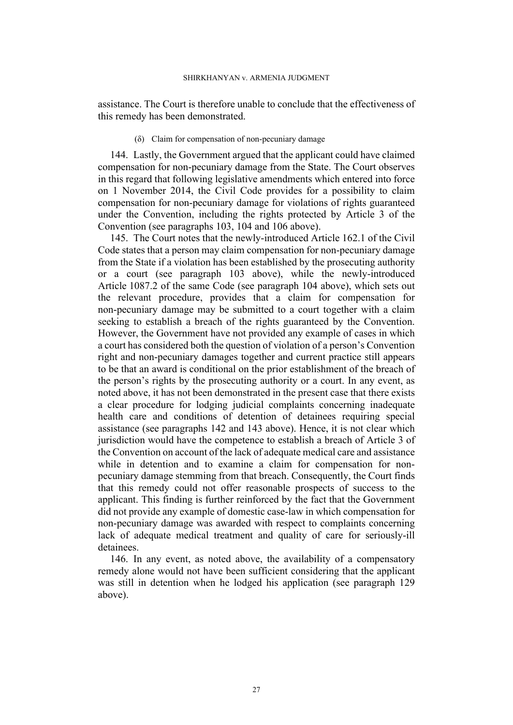assistance. The Court is therefore unable to conclude that the effectiveness of this remedy has been demonstrated.

#### (δ) Claim for compensation of non-pecuniary damage

144. Lastly, the Government argued that the applicant could have claimed compensation for non-pecuniary damage from the State. The Court observes in this regard that following legislative amendments which entered into force on 1 November 2014, the Civil Code provides for a possibility to claim compensation for non-pecuniary damage for violations of rights guaranteed under the Convention, including the rights protected by Article 3 of the Convention (see paragraphs [103,](#page-16-1) [104](#page-16-2) and [106](#page-16-5) above).

145. The Court notes that the newly-introduced Article 162.1 of the Civil Code states that a person may claim compensation for non-pecuniary damage from the State if a violation has been established by the prosecuting authority or a court (see paragraph [103](#page-16-1) above), while the newly-introduced Article 1087.2 of the same Code (see paragraph [104](#page-16-2) above), which sets out the relevant procedure, provides that a claim for compensation for non-pecuniary damage may be submitted to a court together with a claim seeking to establish a breach of the rights guaranteed by the Convention. However, the Government have not provided any example of cases in which a court has considered both the question of violation of a person's Convention right and non-pecuniary damages together and current practice still appears to be that an award is conditional on the prior establishment of the breach of the person's rights by the prosecuting authority or a court. In any event, as noted above, it has not been demonstrated in the present case that there exists a clear procedure for lodging judicial complaints concerning inadequate health care and conditions of detention of detainees requiring special assistance (see paragraphs [142](#page-27-0) and [143](#page-27-1) above). Hence, it is not clear which jurisdiction would have the competence to establish a breach of Article 3 of the Convention on account of the lack of adequate medical care and assistance while in detention and to examine a claim for compensation for nonpecuniary damage stemming from that breach. Consequently, the Court finds that this remedy could not offer reasonable prospects of success to the applicant. This finding is further reinforced by the fact that the Government did not provide any example of domestic case-law in which compensation for non-pecuniary damage was awarded with respect to complaints concerning lack of adequate medical treatment and quality of care for seriously-ill detainees.

146. In any event, as noted above, the availability of a compensatory remedy alone would not have been sufficient considering that the applicant was still in detention when he lodged his application (see paragraph [129](#page-24-0)  above).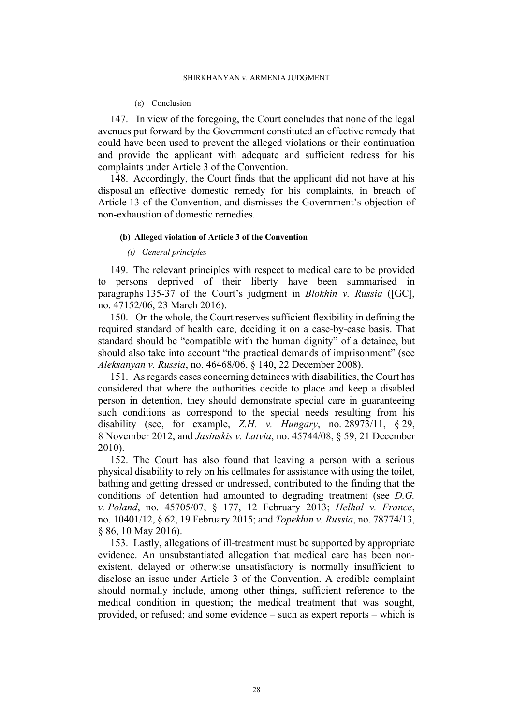#### (ε) Conclusion

147. In view of the foregoing, the Court concludes that none of the legal avenues put forward by the Government constituted an effective remedy that could have been used to prevent the alleged violations or their continuation and provide the applicant with adequate and sufficient redress for his complaints under Article 3 of the Convention.

148. Accordingly, the Court finds that the applicant did not have at his disposal an effective domestic remedy for his complaints, in breach of Article 13 of the Convention, and dismisses the Government's objection of non-exhaustion of domestic remedies.

#### **(b) Alleged violation of Article 3 of the Convention**

### *(i) General principles*

149. The relevant principles with respect to medical care to be provided to persons deprived of their liberty have been summarised in paragraphs 135-37 of the Court's judgment in *Blokhin v. Russia* ([GC], no. 47152/06, 23 March 2016).

150. On the whole, the Court reserves sufficient flexibility in defining the required standard of health care, deciding it on a case-by-case basis. That standard should be "compatible with the human dignity" of a detainee, but should also take into account "the practical demands of imprisonment" (see *Aleksanyan v. Russia*, no. 46468/06, § 140, 22 December 2008).

151. As regards cases concerning detainees with disabilities, the Court has considered that where the authorities decide to place and keep a disabled person in detention, they should demonstrate special care in guaranteeing such conditions as correspond to the special needs resulting from his disability (see, for example, *Z.H. v. Hungary*, no. 28973/11, § 29, 8 November 2012, and *Jasinskis v. Latvia*, no. 45744/08, § 59, 21 December 2010).

<span id="page-29-0"></span>152. The Court has also found that leaving a person with a serious physical disability to rely on his cellmates for assistance with using the toilet, bathing and getting dressed or undressed, contributed to the finding that the conditions of detention had amounted to degrading treatment (see *D.G. v. Poland*, no. 45705/07, § 177, 12 February 2013; *Helhal v. France*, no. 10401/12, § 62, 19 February 2015; and *Topekhin v. Russia*, no. 78774/13, § 86, 10 May 2016).

153. Lastly, allegations of ill-treatment must be supported by appropriate evidence. An unsubstantiated allegation that medical care has been nonexistent, delayed or otherwise unsatisfactory is normally insufficient to disclose an issue under Article 3 of the Convention. A credible complaint should normally include, among other things, sufficient reference to the medical condition in question; the medical treatment that was sought, provided, or refused; and some evidence – such as expert reports – which is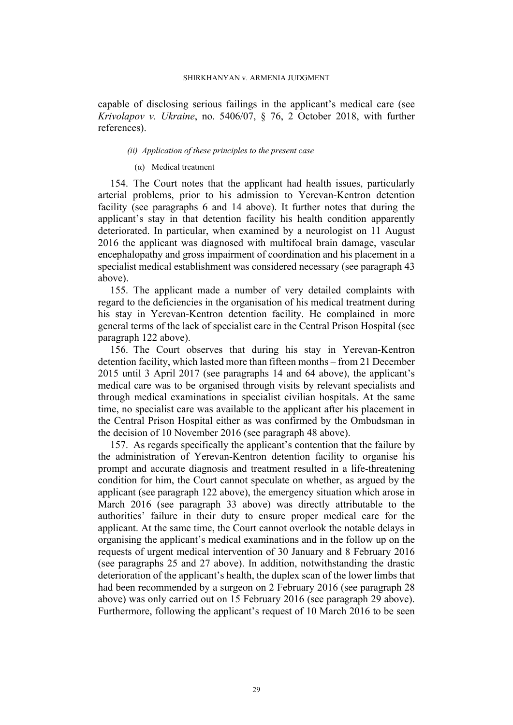capable of disclosing serious failings in the applicant's medical care (see *Krivolapov v. Ukraine*, no. 5406/07, § 76, 2 October 2018, with further references).

### *(ii) Application of these principles to the present case*

#### (α) Medical treatment

154. The Court notes that the applicant had health issues, particularly arterial problems, prior to his admission to Yerevan-Kentron detention facility (see paragraphs [6](#page-3-0) and [14](#page-4-3) above). It further notes that during the applicant's stay in that detention facility his health condition apparently deteriorated. In particular, when examined by a neurologist on 11 August 2016 the applicant was diagnosed with multifocal brain damage, vascular encephalopathy and gross impairment of coordination and his placement in a specialist medical establishment was considered necessary (see paragraph [43](#page-6-0)  above).

155. The applicant made a number of very detailed complaints with regard to the deficiencies in the organisation of his medical treatment during his stay in Yerevan-Kentron detention facility. He complained in more general terms of the lack of specialist care in the Central Prison Hospital (see paragraph [122](#page-22-0) above).

156. The Court observes that during his stay in Yerevan-Kentron detention facility, which lasted more than fifteen months – from 21 December 2015 until 3 April 2017 (see paragraphs [14](#page-4-3) and [64](#page-9-0) above), the applicant's medical care was to be organised through visits by relevant specialists and through medical examinations in specialist civilian hospitals. At the same time, no specialist care was available to the applicant after his placement in the Central Prison Hospital either as was confirmed by the Ombudsman in the decision of 10 November 2016 (see paragraph [48](#page-7-1) above).

<span id="page-30-0"></span>157. As regards specifically the applicant's contention that the failure by the administration of Yerevan-Kentron detention facility to organise his prompt and accurate diagnosis and treatment resulted in a life-threatening condition for him, the Court cannot speculate on whether, as argued by the applicant (see paragraph [122](#page-22-0) above), the emergency situation which arose in March 2016 (see paragraph [33](#page-5-0) above) was directly attributable to the authorities' failure in their duty to ensure proper medical care for the applicant. At the same time, the Court cannot overlook the notable delays in organising the applicant's medical examinations and in the follow up on the requests of urgent medical intervention of 30 January and 8 February 2016 (see paragraphs [25](#page-5-2) and [27](#page-5-3) above). In addition, notwithstanding the drastic deterioration of the applicant's health, the duplex scan of the lower limbs that had been recommended by a surgeon on 2 February 2016 (see paragraph [28](#page-5-4)  above) was only carried out on 15 February 2016 (see paragraph [29](#page-5-5) above). Furthermore, following the applicant's request of 10 March 2016 to be seen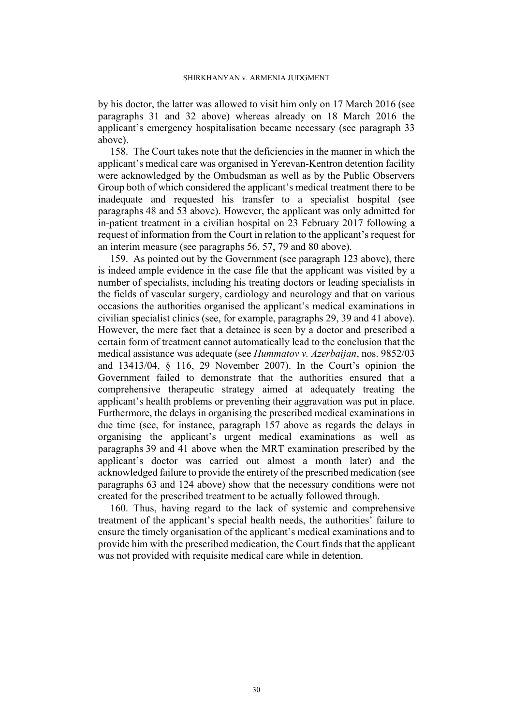by his doctor, the latter was allowed to visit him only on 17 March 2016 (see paragraphs [31](#page-5-6) and [32](#page-5-7) above) whereas already on 18 March 2016 the applicant's emergency hospitalisation became necessary (see paragraph [33](#page-5-0)  above).

158. The Court takes note that the deficiencies in the manner in which the applicant's medical care was organised in Yerevan-Kentron detention facility were acknowledged by the Ombudsman as well as by the Public Observers Group both of which considered the applicant's medical treatment there to be inadequate and requested his transfer to a specialist hospital (see paragraphs [48](#page-7-1) and [53](#page-8-3) above). However, the applicant was only admitted for in-patient treatment in a civilian hospital on 23 February 2017 following a request of information from the Court in relation to the applicant's request for an interim measure (see paragraphs [56,](#page-8-4) [57,](#page-8-0) [79](#page-12-2) and [80](#page-12-0) above).

159. As pointed out by the Government (see paragraph [123](#page-23-0) above), there is indeed ample evidence in the case file that the applicant was visited by a number of specialists, including his treating doctors or leading specialists in the fields of vascular surgery, cardiology and neurology and that on various occasions the authorities organised the applicant's medical examinations in civilian specialist clinics (see, for example, paragraphs [29](#page-5-5), [39](#page-6-1) and [41](#page-6-2) above). However, the mere fact that a detainee is seen by a doctor and prescribed a certain form of treatment cannot automatically lead to the conclusion that the medical assistance was adequate (see *Hummatov v. Azerbaijan*, nos. 9852/03 and 13413/04, § 116, 29 November 2007). In the Court's opinion the Government failed to demonstrate that the authorities ensured that a comprehensive therapeutic strategy aimed at adequately treating the applicant's health problems or preventing their aggravation was put in place. Furthermore, the delays in organising the prescribed medical examinations in due time (see, for instance, paragraph [157](#page-30-0) above as regards the delays in organising the applicant's urgent medical examinations as well as paragraphs [39](#page-6-1) and [41](#page-6-2) above when the MRT examination prescribed by the applicant's doctor was carried out almost a month later) and the acknowledged failure to provide the entirety of the prescribed medication (see paragraphs [63](#page-9-1) and [124](#page-23-1) above) show that the necessary conditions were not created for the prescribed treatment to be actually followed through.

160. Thus, having regard to the lack of systemic and comprehensive treatment of the applicant's special health needs, the authorities' failure to ensure the timely organisation of the applicant's medical examinations and to provide him with the prescribed medication, the Court finds that the applicant was not provided with requisite medical care while in detention.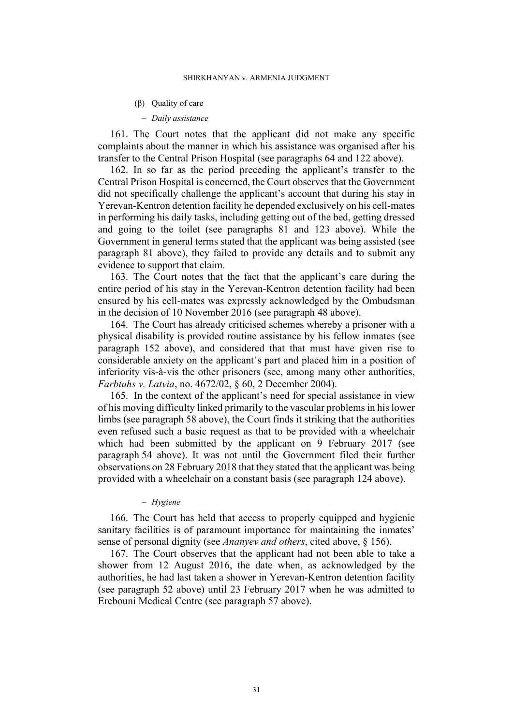#### (β) Quality of care

### ‒ *Daily assistance*

161. The Court notes that the applicant did not make any specific complaints about the manner in which his assistance was organised after his transfer to the Central Prison Hospital (see paragraphs [64](#page-9-0) and [122](#page-22-0) above).

162. In so far as the period preceding the applicant's transfer to the Central Prison Hospital is concerned, the Court observes that the Government did not specifically challenge the applicant's account that during his stay in Yerevan-Kentron detention facility he depended exclusively on his cell-mates in performing his daily tasks, including getting out of the bed, getting dressed and going to the toilet (see paragraphs [81](#page-12-1) and [123](#page-23-0) above). While the Government in general terms stated that the applicant was being assisted (see paragraph [81](#page-12-1) above), they failed to provide any details and to submit any evidence to support that claim.

163. The Court notes that the fact that the applicant's care during the entire period of his stay in the Yerevan-Kentron detention facility had been ensured by his cell-mates was expressly acknowledged by the Ombudsman in the decision of 10 November 2016 (see paragraph [48](#page-7-1) above).

164. The Court has already criticised schemes whereby a prisoner with a physical disability is provided routine assistance by his fellow inmates (see paragraph [152](#page-29-0) above), and considered that that must have given rise to considerable anxiety on the applicant's part and placed him in a position of inferiority vis-à-vis the other prisoners (see, among many other authorities, *Farbtuhs v. Latvia*, no. 4672/02, § 60, 2 December 2004).

165. In the context of the applicant's need for special assistance in view of his moving difficulty linked primarily to the vascular problems in his lower limbs (see paragraph [58](#page-8-2) above), the Court finds it striking that the authorities even refused such a basic request as that to be provided with a wheelchair which had been submitted by the applicant on 9 February 2017 (see paragraph [54](#page-8-5) above). It was not until the Government filed their further observations on 28 February 2018 that they stated that the applicant was being provided with a wheelchair on a constant basis (see paragraph [124](#page-23-1) above).

#### ‒ *Hygiene*

166. The Court has held that access to properly equipped and hygienic sanitary facilities is of paramount importance for maintaining the inmates' sense of personal dignity (see *Ananyev and others*, cited above, § 156).

167. The Court observes that the applicant had not been able to take a shower from 12 August 2016, the date when, as acknowledged by the authorities, he had last taken a shower in Yerevan-Kentron detention facility (see paragraph [52](#page-8-6) above) until 23 February 2017 when he was admitted to Erebouni Medical Centre (see paragraph [57](#page-8-0) above).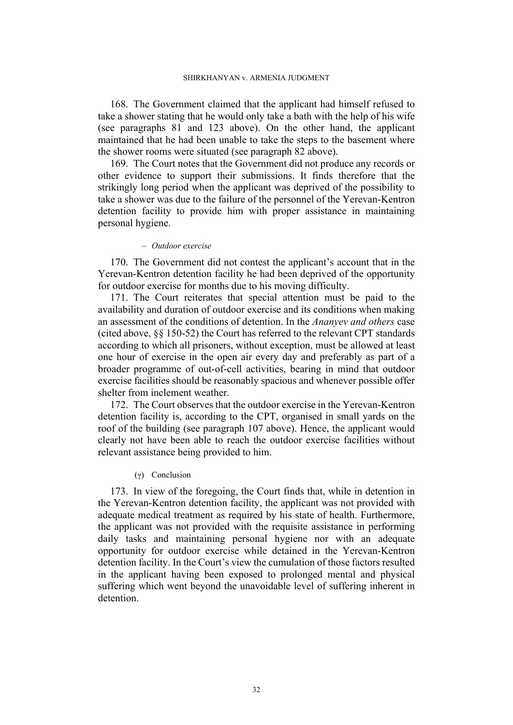168. The Government claimed that the applicant had himself refused to take a shower stating that he would only take a bath with the help of his wife (see paragraphs [81](#page-12-1) and [123](#page-23-0) above). On the other hand, the applicant maintained that he had been unable to take the steps to the basement where the shower rooms were situated (see paragraph [82](#page-12-3) above).

169. The Court notes that the Government did not produce any records or other evidence to support their submissions. It finds therefore that the strikingly long period when the applicant was deprived of the possibility to take a shower was due to the failure of the personnel of the Yerevan-Kentron detention facility to provide him with proper assistance in maintaining personal hygiene.

#### ‒ *Outdoor exercise*

170. The Government did not contest the applicant's account that in the Yerevan-Kentron detention facility he had been deprived of the opportunity for outdoor exercise for months due to his moving difficulty.

171. The Court reiterates that special attention must be paid to the availability and duration of outdoor exercise and its conditions when making an assessment of the conditions of detention. In the *Ananyev and others* case (cited above, §§ 150-52) the Court has referred to the relevant CPT standards according to which all prisoners, without exception, must be allowed at least one hour of exercise in the open air every day and preferably as part of a broader programme of out-of-cell activities, bearing in mind that outdoor exercise facilities should be reasonably spacious and whenever possible offer shelter from inclement weather.

172. The Court observes that the outdoor exercise in the Yerevan-Kentron detention facility is, according to the CPT, organised in small yards on the roof of the building (see paragraph [107](#page-17-0) above). Hence, the applicant would clearly not have been able to reach the outdoor exercise facilities without relevant assistance being provided to him.

# (γ) Conclusion

173. In view of the foregoing, the Court finds that, while in detention in the Yerevan-Kentron detention facility, the applicant was not provided with adequate medical treatment as required by his state of health. Furthermore, the applicant was not provided with the requisite assistance in performing daily tasks and maintaining personal hygiene nor with an adequate opportunity for outdoor exercise while detained in the Yerevan-Kentron detention facility. In the Court's view the cumulation of those factors resulted in the applicant having been exposed to prolonged mental and physical suffering which went beyond the unavoidable level of suffering inherent in detention.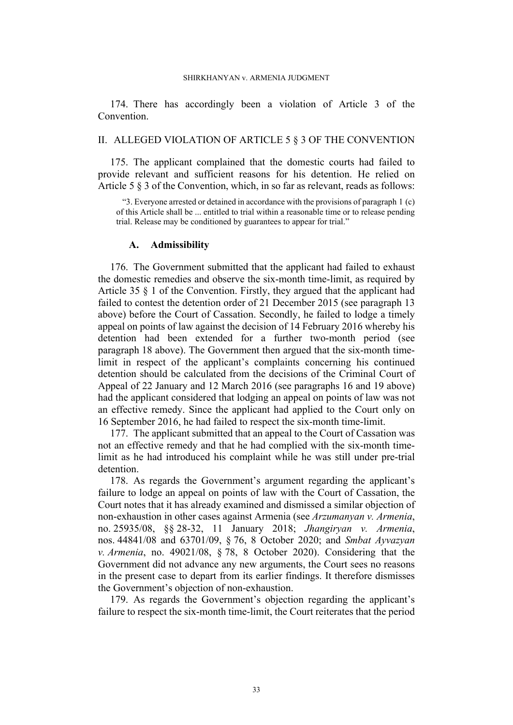174. There has accordingly been a violation of Article 3 of the Convention.

## II. ALLEGED VIOLATION OF ARTICLE 5 § 3 OF THE CONVENTION

175. The applicant complained that the domestic courts had failed to provide relevant and sufficient reasons for his detention. He relied on Article 5 § 3 of the Convention, which, in so far as relevant, reads as follows:

"3. Everyone arrested or detained in accordance with the provisions of paragraph 1 (c) of this Article shall be ... entitled to trial within a reasonable time or to release pending trial. Release may be conditioned by guarantees to appear for trial."

# **A. Admissibility**

176. The Government submitted that the applicant had failed to exhaust the domestic remedies and observe the six-month time-limit, as required by Article 35 § 1 of the Convention. Firstly, they argued that the applicant had failed to contest the detention order of 21 December 2015 (see paragraph [13](#page-4-0)  above) before the Court of Cassation. Secondly, he failed to lodge a timely appeal on points of law against the decision of 14 February 2016 whereby his detention had been extended for a further two-month period (see paragraph [18](#page-4-4) above). The Government then argued that the six-month timelimit in respect of the applicant's complaints concerning his continued detention should be calculated from the decisions of the Criminal Court of Appeal of 22 January and 12 March 2016 (see paragraphs [16](#page-4-5) and [19](#page-4-6) above) had the applicant considered that lodging an appeal on points of law was not an effective remedy. Since the applicant had applied to the Court only on 16 September 2016, he had failed to respect the six-month time-limit.

177. The applicant submitted that an appeal to the Court of Cassation was not an effective remedy and that he had complied with the six-month timelimit as he had introduced his complaint while he was still under pre-trial detention.

178. As regards the Government's argument regarding the applicant's failure to lodge an appeal on points of law with the Court of Cassation, the Court notes that it has already examined and dismissed a similar objection of non-exhaustion in other cases against Armenia (see *Arzumanyan v. Armenia*, no. 25935/08, §§ 28-32, 11 January 2018; *Jhangiryan v. Armenia*, nos. 44841/08 and 63701/09, § 76, 8 October 2020; and *Smbat Ayvazyan v. Armenia*, no. 49021/08, § 78, 8 October 2020). Considering that the Government did not advance any new arguments, the Court sees no reasons in the present case to depart from its earlier findings. It therefore dismisses the Government's objection of non-exhaustion.

179. As regards the Government's objection regarding the applicant's failure to respect the six-month time-limit, the Court reiterates that the period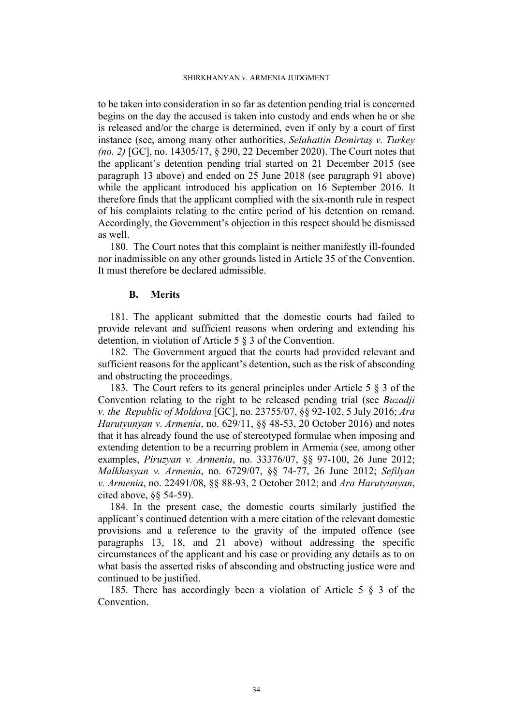to be taken into consideration in so far as detention pending trial is concerned begins on the day the accused is taken into custody and ends when he or she is released and/or the charge is determined, even if only by a court of first instance (see, among many other authorities, *Selahattin Demirtaş v. Turkey (no. 2)* [GC], no. 14305/17, § 290, 22 December 2020). The Court notes that the applicant's detention pending trial started on 21 December 2015 (see paragraph [13](#page-4-0) above) and ended on 25 June 2018 (see paragraph [91](#page-14-2) above) while the applicant introduced his application on 16 September 2016. It therefore finds that the applicant complied with the six-month rule in respect of his complaints relating to the entire period of his detention on remand. Accordingly, the Government's objection in this respect should be dismissed as well.

180. The Court notes that this complaint is neither manifestly ill-founded nor inadmissible on any other grounds listed in Article 35 of the Convention. It must therefore be declared admissible.

## **B. Merits**

181. The applicant submitted that the domestic courts had failed to provide relevant and sufficient reasons when ordering and extending his detention, in violation of Article 5 § 3 of the Convention.

182. The Government argued that the courts had provided relevant and sufficient reasons for the applicant's detention, such as the risk of absconding and obstructing the proceedings.

183. The Court refers to its general principles under Article 5 § 3 of the Convention relating to the right to be released pending trial (see *Buzadji v. the Republic of Moldova* [GC], no. 23755/07, §§ 92-102, 5 July 2016; *Ara Harutyunyan v. Armenia*, no. 629/11, §§ 48-53, 20 October 2016) and notes that it has already found the use of stereotyped formulae when imposing and extending detention to be a recurring problem in Armenia (see, among other examples, *Piruzyan v. Armenia*, no. 33376/07, §§ 97-100, 26 June 2012; *Malkhasyan v. Armenia*, no. 6729/07, §§ 74-77, 26 June 2012; *Sefilyan v. Armenia*, no. 22491/08, §§ 88-93, 2 October 2012; and *Ara Harutyunyan*, cited above, §§ 54-59).

184. In the present case, the domestic courts similarly justified the applicant's continued detention with a mere citation of the relevant domestic provisions and a reference to the gravity of the imputed offence (see paragraphs [13,](#page-4-0) [18,](#page-4-4) and [21](#page-4-7) above) without addressing the specific circumstances of the applicant and his case or providing any details as to on what basis the asserted risks of absconding and obstructing justice were and continued to be justified.

185. There has accordingly been a violation of Article 5 § 3 of the **Convention**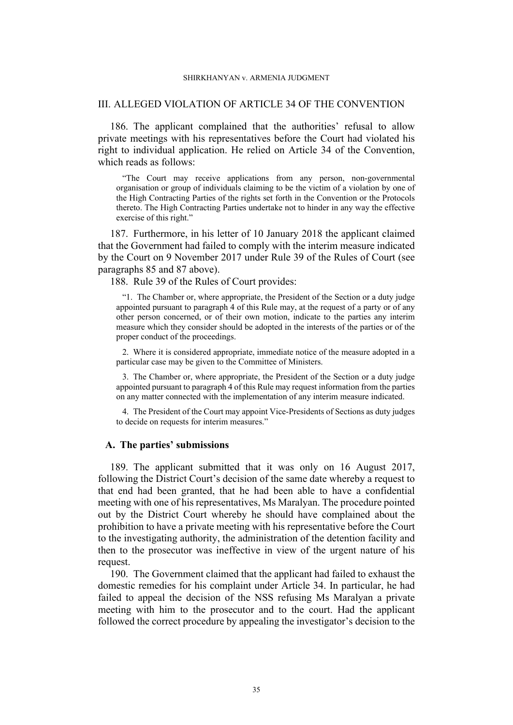#### SHIRKHANYAN v. ARMENIA JUDGMENT

## III. ALLEGED VIOLATION OF ARTICLE 34 OF THE CONVENTION

186. The applicant complained that the authorities' refusal to allow private meetings with his representatives before the Court had violated his right to individual application. He relied on Article 34 of the Convention, which reads as follows:

"The Court may receive applications from any person, non-governmental organisation or group of individuals claiming to be the victim of a violation by one of the High Contracting Parties of the rights set forth in the Convention or the Protocols thereto. The High Contracting Parties undertake not to hinder in any way the effective exercise of this right."

187. Furthermore, in his letter of 10 January 2018 the applicant claimed that the Government had failed to comply with the interim measure indicated by the Court on 9 November 2017 under Rule 39 of the Rules of Court (see paragraphs [85](#page-13-0) and [87](#page-13-1) above).

188. Rule 39 of the Rules of Court provides:

"1. The Chamber or, where appropriate, the President of the Section or a duty judge appointed pursuant to paragraph 4 of this Rule may, at the request of a party or of any other person concerned, or of their own motion, indicate to the parties any interim measure which they consider should be adopted in the interests of the parties or of the proper conduct of the proceedings.

2. Where it is considered appropriate, immediate notice of the measure adopted in a particular case may be given to the Committee of Ministers.

3. The Chamber or, where appropriate, the President of the Section or a duty judge appointed pursuant to paragraph 4 of this Rule may request information from the parties on any matter connected with the implementation of any interim measure indicated.

4. The President of the Court may appoint Vice-Presidents of Sections as duty judges to decide on requests for interim measures."

## **A. The parties' submissions**

<span id="page-36-0"></span>189. The applicant submitted that it was only on 16 August 2017, following the District Court's decision of the same date whereby a request to that end had been granted, that he had been able to have a confidential meeting with one of his representatives, Ms Maralyan. The procedure pointed out by the District Court whereby he should have complained about the prohibition to have a private meeting with his representative before the Court to the investigating authority, the administration of the detention facility and then to the prosecutor was ineffective in view of the urgent nature of his request.

190. The Government claimed that the applicant had failed to exhaust the domestic remedies for his complaint under Article 34. In particular, he had failed to appeal the decision of the NSS refusing Ms Maralyan a private meeting with him to the prosecutor and to the court. Had the applicant followed the correct procedure by appealing the investigator's decision to the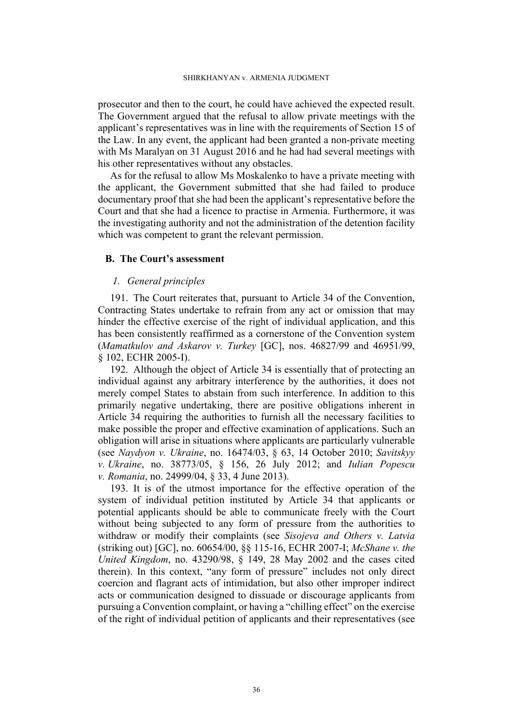prosecutor and then to the court, he could have achieved the expected result. The Government argued that the refusal to allow private meetings with the applicant's representatives was in line with the requirements of Section 15 of the Law. In any event, the applicant had been granted a non-private meeting with Ms Maralyan on 31 August 2016 and he had had several meetings with his other representatives without any obstacles.

As for the refusal to allow Ms Moskalenko to have a private meeting with the applicant, the Government submitted that she had failed to produce documentary proof that she had been the applicant's representative before the Court and that she had a licence to practise in Armenia. Furthermore, it was the investigating authority and not the administration of the detention facility which was competent to grant the relevant permission.

# **B. The Court's assessment**

# *1. General principles*

191. The Court reiterates that, pursuant to Article 34 of the Convention, Contracting States undertake to refrain from any act or omission that may hinder the effective exercise of the right of individual application, and this has been consistently reaffirmed as a cornerstone of the Convention system (*Mamatkulov and Askarov v. Turkey* [GC], nos. 46827/99 and 46951/99, § 102, ECHR 2005-I).

192. Although the object of Article 34 is essentially that of protecting an individual against any arbitrary interference by the authorities, it does not merely compel States to abstain from such interference. In addition to this primarily negative undertaking, there are positive obligations inherent in Article 34 requiring the authorities to furnish all the necessary facilities to make possible the proper and effective examination of applications. Such an obligation will arise in situations where applicants are particularly vulnerable (see *Naydyon v. Ukraine*, no. 16474/03, § 63, 14 October 2010; *Savitskyy v. Ukraine*, no. 38773/05, § 156, 26 July 2012; and *Iulian Popescu v. Romania*, no. 24999/04, § 33, 4 June 2013).

193. It is of the utmost importance for the effective operation of the system of individual petition instituted by Article 34 that applicants or potential applicants should be able to communicate freely with the Court without being subjected to any form of pressure from the authorities to withdraw or modify their complaints (see *Sisojeva and Others v. Latvia*  (striking out) [GC], no. 60654/00, §§ 115-16, ECHR 2007-I; *McShane v. the United Kingdom*, no. 43290/98, § 149, 28 May 2002 and the cases cited therein). In this context, "any form of pressure" includes not only direct coercion and flagrant acts of intimidation, but also other improper indirect acts or communication designed to dissuade or discourage applicants from pursuing a Convention complaint, or having a "chilling effect" on the exercise of the right of individual petition of applicants and their representatives (see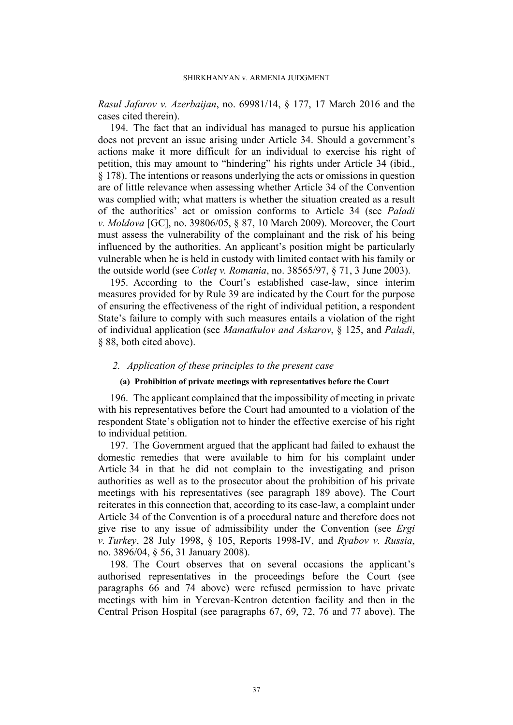*Rasul Jafarov v. Azerbaijan*, no. 69981/14, § 177, 17 March 2016 and the cases cited therein).

194. The fact that an individual has managed to pursue his application does not prevent an issue arising under Article 34. Should a government's actions make it more difficult for an individual to exercise his right of petition, this may amount to "hindering" his rights under Article 34 (ibid., § 178). The intentions or reasons underlying the acts or omissions in question are of little relevance when assessing whether Article 34 of the Convention was complied with; what matters is whether the situation created as a result of the authorities' act or omission conforms to Article 34 (see *Paladi v. Moldova* [GC], no. 39806/05, § 87, 10 March 2009). Moreover, the Court must assess the vulnerability of the complainant and the risk of his being influenced by the authorities. An applicant's position might be particularly vulnerable when he is held in custody with limited contact with his family or the outside world (see *Cotleţ v. Romania*, no. 38565/97, § 71, 3 June 2003).

195. According to the Court's established case-law, since interim measures provided for by Rule 39 are indicated by the Court for the purpose of ensuring the effectiveness of the right of individual petition, a respondent State's failure to comply with such measures entails a violation of the right of individual application (see *Mamatkulov and Askarov*, § 125, and *Paladi*, § 88, both cited above).

## *2. Application of these principles to the present case*

#### **(a) Prohibition of private meetings with representatives before the Court**

196. The applicant complained that the impossibility of meeting in private with his representatives before the Court had amounted to a violation of the respondent State's obligation not to hinder the effective exercise of his right to individual petition.

197. The Government argued that the applicant had failed to exhaust the domestic remedies that were available to him for his complaint under Article 34 in that he did not complain to the investigating and prison authorities as well as to the prosecutor about the prohibition of his private meetings with his representatives (see paragraph [189](#page-36-0) above). The Court reiterates in this connection that, according to its case-law, a complaint under Article 34 of the Convention is of a procedural nature and therefore does not give rise to any issue of admissibility under the Convention (see *Ergi v. Turkey*, 28 July 1998, § 105, Reports 1998-IV, and *Ryabov v. Russia*, no. 3896/04, § 56, 31 January 2008).

198. The Court observes that on several occasions the applicant's authorised representatives in the proceedings before the Court (see paragraphs [66](#page-10-0) and [74](#page-11-0) above) were refused permission to have private meetings with him in Yerevan-Kentron detention facility and then in the Central Prison Hospital (see paragraphs [67,](#page-10-1) [69,](#page-10-2) [72,](#page-10-3) [76](#page-11-1) and [77](#page-11-2) above). The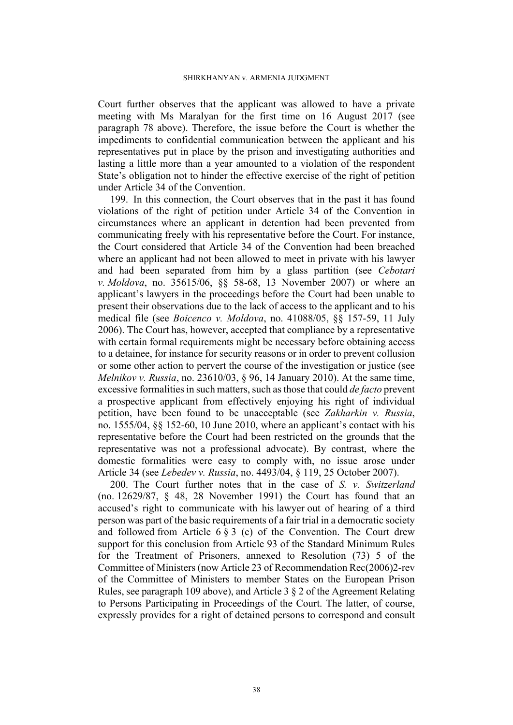Court further observes that the applicant was allowed to have a private meeting with Ms Maralyan for the first time on 16 August 2017 (see paragraph [78](#page-11-3) above). Therefore, the issue before the Court is whether the impediments to confidential communication between the applicant and his representatives put in place by the prison and investigating authorities and lasting a little more than a year amounted to a violation of the respondent State's obligation not to hinder the effective exercise of the right of petition under Article 34 of the Convention.

199. In this connection, the Court observes that in the past it has found violations of the right of petition under Article 34 of the Convention in circumstances where an applicant in detention had been prevented from communicating freely with his representative before the Court. For instance, the Court considered that Article 34 of the Convention had been breached where an applicant had not been allowed to meet in private with his lawyer and had been separated from him by a glass partition (see *Cebotari v. Moldova*, no. 35615/06, §§ 58-68, 13 November 2007) or where an applicant's lawyers in the proceedings before the Court had been unable to present their observations due to the lack of access to the applicant and to his medical file (see *Boicenco v. Moldova*, no. 41088/05, §§ 157-59, 11 July 2006). The Court has, however, accepted that compliance by a representative with certain formal requirements might be necessary before obtaining access to a detainee, for instance for security reasons or in order to prevent collusion or some other action to pervert the course of the investigation or justice (see *Melnikov v. Russia*, no. 23610/03, § 96, 14 January 2010). At the same time, excessive formalities in such matters, such as those that could *de facto* prevent a prospective applicant from effectively enjoying his right of individual petition, have been found to be unacceptable (see *Zakharkin v. Russia*, no. 1555/04, §§ 152-60, 10 June 2010, where an applicant's contact with his representative before the Court had been restricted on the grounds that the representative was not a professional advocate). By contrast, where the domestic formalities were easy to comply with, no issue arose under Article 34 (see *Lebedev v. Russia*, no. 4493/04, § 119, 25 October 2007).

200. The Court further notes that in the case of *S. v. Switzerland*  (no. 12629/87, § 48, 28 November 1991) the Court has found that an accused's right to communicate with his lawyer out of hearing of a third person was part of the basic requirements of a fair trial in a democratic society and followed from Article 6  $\S$  3 (c) of the Convention. The Court drew support for this conclusion from Article 93 of the Standard Minimum Rules for the Treatment of Prisoners, annexed to Resolution (73) 5 of the Committee of Ministers (now Article 23 of Recommendation Rec(2006)2-rev of the Committee of Ministers to member States on the European Prison Rules, see paragraph [109](#page-19-0) above), and Article 3 § 2 of the Agreement Relating to Persons Participating in Proceedings of the Court. The latter, of course, expressly provides for a right of detained persons to correspond and consult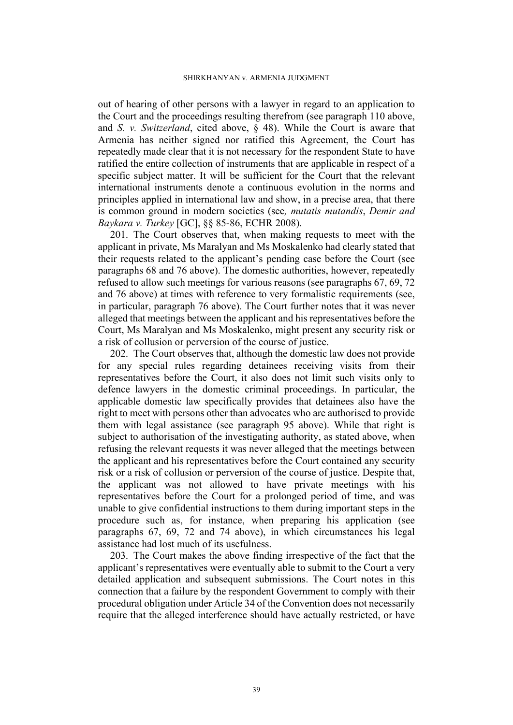#### SHIRKHANYAN v. ARMENIA JUDGMENT

out of hearing of other persons with a lawyer in regard to an application to the Court and the proceedings resulting therefrom (see paragraph [110](#page-19-1) above, and *S. v. Switzerland*, cited above, § 48). While the Court is aware that Armenia has neither signed nor ratified this Agreement, the Court has repeatedly made clear that it is not necessary for the respondent State to have ratified the entire collection of instruments that are applicable in respect of a specific subject matter. It will be sufficient for the Court that the relevant international instruments denote a continuous evolution in the norms and principles applied in international law and show, in a precise area, that there is common ground in modern societies (see*, mutatis mutandis*, *Demir and Baykara v. Turkey* [GC], §§ 85-86, ECHR 2008).

201. The Court observes that, when making requests to meet with the applicant in private, Ms Maralyan and Ms Moskalenko had clearly stated that their requests related to the applicant's pending case before the Court (see paragraphs [68](#page-10-4) and [76](#page-11-1) above). The domestic authorities, however, repeatedly refused to allow such meetings for various reasons (see paragraphs [67](#page-10-1), [69,](#page-10-2) [72](#page-10-3)  and [76](#page-11-1) above) at times with reference to very formalistic requirements (see, in particular, paragraph [76](#page-11-1) above). The Court further notes that it was never alleged that meetings between the applicant and his representatives before the Court, Ms Maralyan and Ms Moskalenko, might present any security risk or a risk of collusion or perversion of the course of justice.

202. The Court observes that, although the domestic law does not provide for any special rules regarding detainees receiving visits from their representatives before the Court, it also does not limit such visits only to defence lawyers in the domestic criminal proceedings. In particular, the applicable domestic law specifically provides that detainees also have the right to meet with persons other than advocates who are authorised to provide them with legal assistance (see paragraph [95](#page-14-0) above). While that right is subject to authorisation of the investigating authority, as stated above, when refusing the relevant requests it was never alleged that the meetings between the applicant and his representatives before the Court contained any security risk or a risk of collusion or perversion of the course of justice. Despite that, the applicant was not allowed to have private meetings with his representatives before the Court for a prolonged period of time, and was unable to give confidential instructions to them during important steps in the procedure such as, for instance, when preparing his application (see paragraphs [67](#page-10-1), [69](#page-10-2), [72](#page-10-3) and [74](#page-11-0) above), in which circumstances his legal assistance had lost much of its usefulness.

203. The Court makes the above finding irrespective of the fact that the applicant's representatives were eventually able to submit to the Court a very detailed application and subsequent submissions. The Court notes in this connection that a failure by the respondent Government to comply with their procedural obligation under Article 34 of the Convention does not necessarily require that the alleged interference should have actually restricted, or have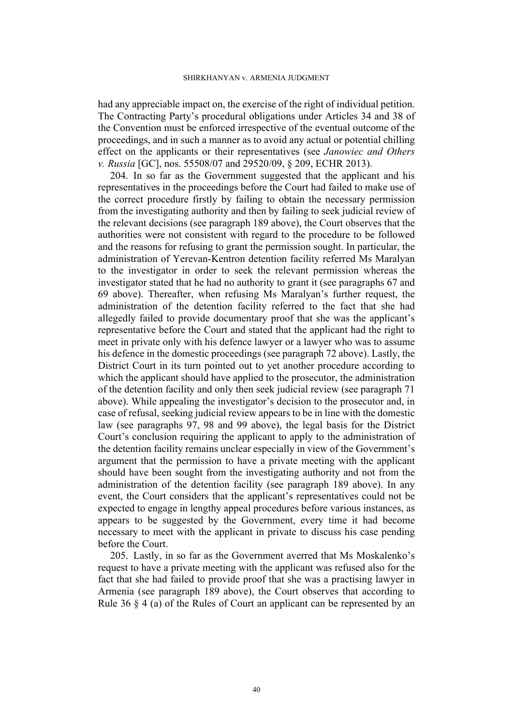had any appreciable impact on, the exercise of the right of individual petition. The Contracting Party's procedural obligations under Articles 34 and 38 of the Convention must be enforced irrespective of the eventual outcome of the proceedings, and in such a manner as to avoid any actual or potential chilling effect on the applicants or their representatives (see *Janowiec and Others v. Russia* [GC], nos. 55508/07 and 29520/09, § 209, ECHR 2013).

204. In so far as the Government suggested that the applicant and his representatives in the proceedings before the Court had failed to make use of the correct procedure firstly by failing to obtain the necessary permission from the investigating authority and then by failing to seek judicial review of the relevant decisions (see paragraph [189](#page-36-0) above), the Court observes that the authorities were not consistent with regard to the procedure to be followed and the reasons for refusing to grant the permission sought. In particular, the administration of Yerevan-Kentron detention facility referred Ms Maralyan to the investigator in order to seek the relevant permission whereas the investigator stated that he had no authority to grant it (see paragraphs [67](#page-10-1) and [69](#page-10-2) above). Thereafter, when refusing Ms Maralyan's further request, the administration of the detention facility referred to the fact that she had allegedly failed to provide documentary proof that she was the applicant's representative before the Court and stated that the applicant had the right to meet in private only with his defence lawyer or a lawyer who was to assume his defence in the domestic proceedings (see paragraph [72](#page-10-3) above). Lastly, the District Court in its turn pointed out to yet another procedure according to which the applicant should have applied to the prosecutor, the administration of the detention facility and only then seek judicial review (see paragraph [71](#page-10-5)  above). While appealing the investigator's decision to the prosecutor and, in case of refusal, seeking judicial review appears to be in line with the domestic law (see paragraphs [97,](#page-15-0) [98](#page-15-1) and [99](#page-15-3) above), the legal basis for the District Court's conclusion requiring the applicant to apply to the administration of the detention facility remains unclear especially in view of the Government's argument that the permission to have a private meeting with the applicant should have been sought from the investigating authority and not from the administration of the detention facility (see paragraph [189](#page-36-0) above). In any event, the Court considers that the applicant's representatives could not be expected to engage in lengthy appeal procedures before various instances, as appears to be suggested by the Government, every time it had become necessary to meet with the applicant in private to discuss his case pending before the Court.

205. Lastly, in so far as the Government averred that Ms Moskalenko's request to have a private meeting with the applicant was refused also for the fact that she had failed to provide proof that she was a practising lawyer in Armenia (see paragraph [189](#page-36-0) above), the Court observes that according to Rule 36 § 4 (a) of the Rules of Court an applicant can be represented by an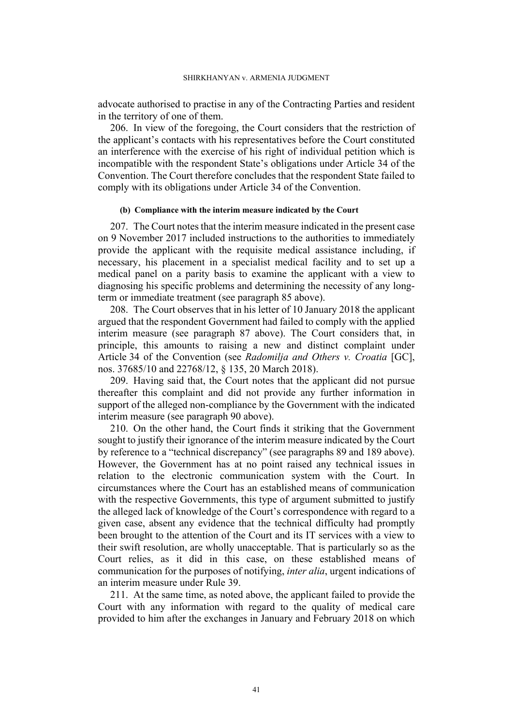advocate authorised to practise in any of the Contracting Parties and resident in the territory of one of them.

206. In view of the foregoing, the Court considers that the restriction of the applicant's contacts with his representatives before the Court constituted an interference with the exercise of his right of individual petition which is incompatible with the respondent State's obligations under Article 34 of the Convention. The Court therefore concludes that the respondent State failed to comply with its obligations under Article 34 of the Convention.

#### **(b) Compliance with the interim measure indicated by the Court**

207. The Court notes that the interim measure indicated in the present case on 9 November 2017 included instructions to the authorities to immediately provide the applicant with the requisite medical assistance including, if necessary, his placement in a specialist medical facility and to set up a medical panel on a parity basis to examine the applicant with a view to diagnosing his specific problems and determining the necessity of any longterm or immediate treatment (see paragraph [85](#page-13-0) above).

208. The Court observes that in his letter of 10 January 2018 the applicant argued that the respondent Government had failed to comply with the applied interim measure (see paragraph [87](#page-13-1) above). The Court considers that, in principle, this amounts to raising a new and distinct complaint under Article 34 of the Convention (see *Radomilja and Others v. Croatia* [GC], nos. 37685/10 and 22768/12, § 135, 20 March 2018).

209. Having said that, the Court notes that the applicant did not pursue thereafter this complaint and did not provide any further information in support of the alleged non-compliance by the Government with the indicated interim measure (see paragraph [90](#page-13-2) above).

210. On the other hand, the Court finds it striking that the Government sought to justify their ignorance of the interim measure indicated by the Court by reference to a "technical discrepancy" (see paragraphs [89](#page-13-3) and [189](#page-36-0) above). However, the Government has at no point raised any technical issues in relation to the electronic communication system with the Court. In circumstances where the Court has an established means of communication with the respective Governments, this type of argument submitted to justify the alleged lack of knowledge of the Court's correspondence with regard to a given case, absent any evidence that the technical difficulty had promptly been brought to the attention of the Court and its IT services with a view to their swift resolution, are wholly unacceptable. That is particularly so as the Court relies, as it did in this case, on these established means of communication for the purposes of notifying, *inter alia*, urgent indications of an interim measure under Rule 39.

211. At the same time, as noted above, the applicant failed to provide the Court with any information with regard to the quality of medical care provided to him after the exchanges in January and February 2018 on which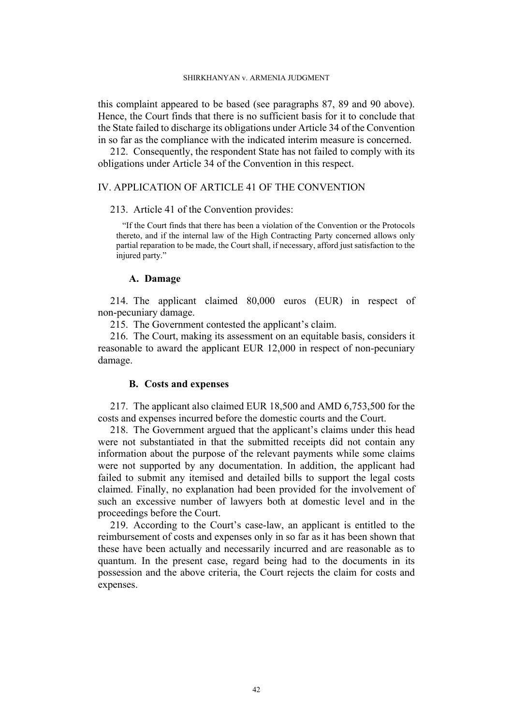this complaint appeared to be based (see paragraphs [87,](#page-13-1) [89](#page-13-3) and [90](#page-13-2) above). Hence, the Court finds that there is no sufficient basis for it to conclude that the State failed to discharge its obligations under Article 34 of the Convention in so far as the compliance with the indicated interim measure is concerned.

212. Consequently, the respondent State has not failed to comply with its obligations under Article 34 of the Convention in this respect.

# IV. APPLICATION OF ARTICLE 41 OF THE CONVENTION

#### 213. Article 41 of the Convention provides:

"If the Court finds that there has been a violation of the Convention or the Protocols thereto, and if the internal law of the High Contracting Party concerned allows only partial reparation to be made, the Court shall, if necessary, afford just satisfaction to the injured party."

## **A. Damage**

214. The applicant claimed 80,000 euros (EUR) in respect of non-pecuniary damage.

215. The Government contested the applicant's claim.

216. The Court, making its assessment on an equitable basis, considers it reasonable to award the applicant EUR 12,000 in respect of non-pecuniary damage.

# **B. Costs and expenses**

217. The applicant also claimed EUR 18,500 and AMD 6,753,500 for the costs and expenses incurred before the domestic courts and the Court.

218. The Government argued that the applicant's claims under this head were not substantiated in that the submitted receipts did not contain any information about the purpose of the relevant payments while some claims were not supported by any documentation. In addition, the applicant had failed to submit any itemised and detailed bills to support the legal costs claimed. Finally, no explanation had been provided for the involvement of such an excessive number of lawyers both at domestic level and in the proceedings before the Court.

219. According to the Court's case-law, an applicant is entitled to the reimbursement of costs and expenses only in so far as it has been shown that these have been actually and necessarily incurred and are reasonable as to quantum. In the present case, regard being had to the documents in its possession and the above criteria, the Court rejects the claim for costs and expenses.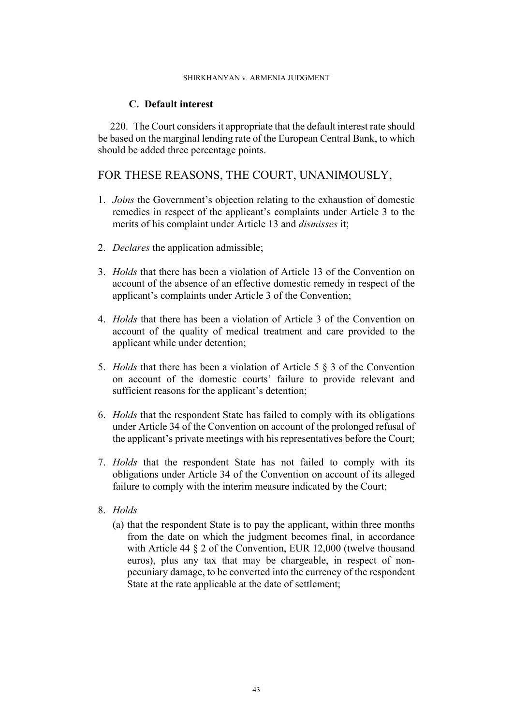### SHIRKHANYAN v. ARMENIA JUDGMENT

# **C. Default interest**

220. The Court considers it appropriate that the default interest rate should be based on the marginal lending rate of the European Central Bank, to which should be added three percentage points.

# FOR THESE REASONS, THE COURT, UNANIMOUSLY,

- 1. *Joins* the Government's objection relating to the exhaustion of domestic remedies in respect of the applicant's complaints under Article 3 to the merits of his complaint under Article 13 and *dismisses* it;
- 2. *Declares* the application admissible;
- 3. *Holds* that there has been a violation of Article 13 of the Convention on account of the absence of an effective domestic remedy in respect of the applicant's complaints under Article 3 of the Convention;
- 4. *Holds* that there has been a violation of Article 3 of the Convention on account of the quality of medical treatment and care provided to the applicant while under detention;
- 5. *Holds* that there has been a violation of Article 5 § 3 of the Convention on account of the domestic courts' failure to provide relevant and sufficient reasons for the applicant's detention;
- 6. *Holds* that the respondent State has failed to comply with its obligations under Article 34 of the Convention on account of the prolonged refusal of the applicant's private meetings with his representatives before the Court;
- 7. *Holds* that the respondent State has not failed to comply with its obligations under Article 34 of the Convention on account of its alleged failure to comply with the interim measure indicated by the Court;
- 8. *Holds*
	- (a) that the respondent State is to pay the applicant, within three months from the date on which the judgment becomes final, in accordance with Article 44 § 2 of the Convention, EUR 12,000 (twelve thousand euros), plus any tax that may be chargeable, in respect of nonpecuniary damage, to be converted into the currency of the respondent State at the rate applicable at the date of settlement;